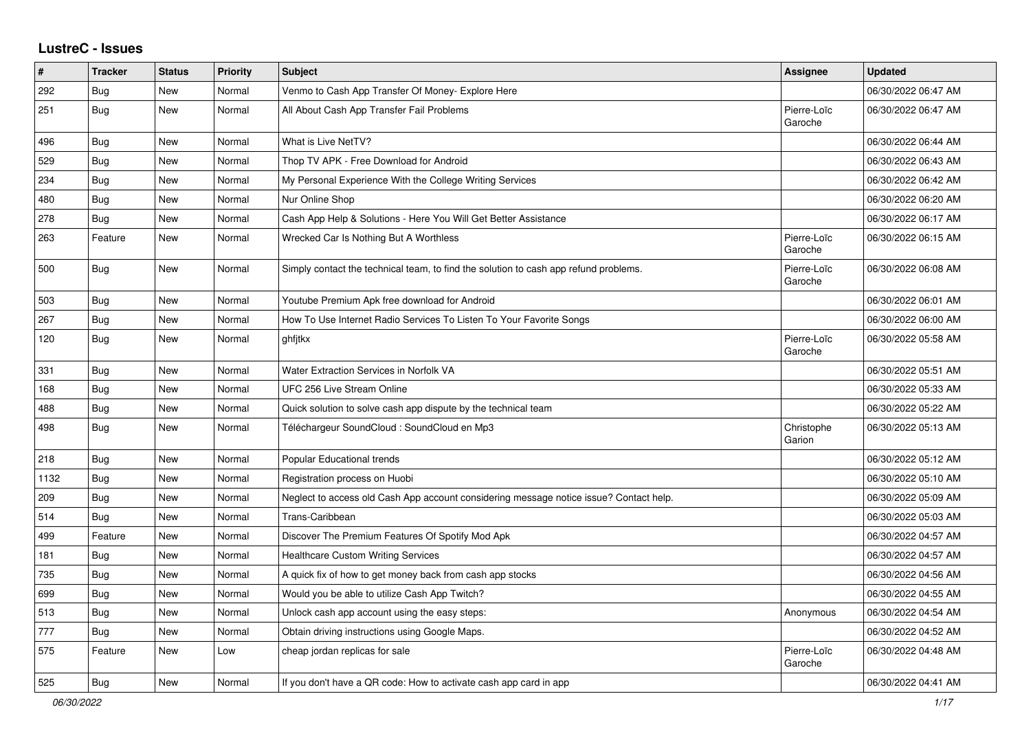## **LustreC - Issues**

| #    | <b>Tracker</b> | <b>Status</b> | <b>Priority</b> | <b>Subject</b>                                                                         | Assignee               | <b>Updated</b>      |
|------|----------------|---------------|-----------------|----------------------------------------------------------------------------------------|------------------------|---------------------|
| 292  | Bug            | <b>New</b>    | Normal          | Venmo to Cash App Transfer Of Money- Explore Here                                      |                        | 06/30/2022 06:47 AM |
| 251  | Bug            | New           | Normal          | All About Cash App Transfer Fail Problems                                              | Pierre-Loïc<br>Garoche | 06/30/2022 06:47 AM |
| 496  | Bug            | New           | Normal          | What is Live NetTV?                                                                    |                        | 06/30/2022 06:44 AM |
| 529  | <b>Bug</b>     | New           | Normal          | Thop TV APK - Free Download for Android                                                |                        | 06/30/2022 06:43 AM |
| 234  | Bug            | New           | Normal          | My Personal Experience With the College Writing Services                               |                        | 06/30/2022 06:42 AM |
| 480  | <b>Bug</b>     | New           | Normal          | Nur Online Shop                                                                        |                        | 06/30/2022 06:20 AM |
| 278  | Bug            | New           | Normal          | Cash App Help & Solutions - Here You Will Get Better Assistance                        |                        | 06/30/2022 06:17 AM |
| 263  | Feature        | New           | Normal          | Wrecked Car Is Nothing But A Worthless                                                 | Pierre-Loïc<br>Garoche | 06/30/2022 06:15 AM |
| 500  | Bug            | New           | Normal          | Simply contact the technical team, to find the solution to cash app refund problems.   | Pierre-Loïc<br>Garoche | 06/30/2022 06:08 AM |
| 503  | <b>Bug</b>     | New           | Normal          | Youtube Premium Apk free download for Android                                          |                        | 06/30/2022 06:01 AM |
| 267  | <b>Bug</b>     | New           | Normal          | How To Use Internet Radio Services To Listen To Your Favorite Songs                    |                        | 06/30/2022 06:00 AM |
| 120  | Bug            | New           | Normal          | ghfitkx                                                                                | Pierre-Loïc<br>Garoche | 06/30/2022 05:58 AM |
| 331  | <b>Bug</b>     | New           | Normal          | <b>Water Extraction Services in Norfolk VA</b>                                         |                        | 06/30/2022 05:51 AM |
| 168  | <b>Bug</b>     | New           | Normal          | UFC 256 Live Stream Online                                                             |                        | 06/30/2022 05:33 AM |
| 488  | Bug            | <b>New</b>    | Normal          | Quick solution to solve cash app dispute by the technical team                         |                        | 06/30/2022 05:22 AM |
| 498  | Bug            | <b>New</b>    | Normal          | Téléchargeur SoundCloud : SoundCloud en Mp3                                            | Christophe<br>Garion   | 06/30/2022 05:13 AM |
| 218  | Bug            | <b>New</b>    | Normal          | Popular Educational trends                                                             |                        | 06/30/2022 05:12 AM |
| 1132 | <b>Bug</b>     | <b>New</b>    | Normal          | Registration process on Huobi                                                          |                        | 06/30/2022 05:10 AM |
| 209  | Bug            | New           | Normal          | Neglect to access old Cash App account considering message notice issue? Contact help. |                        | 06/30/2022 05:09 AM |
| 514  | <b>Bug</b>     | New           | Normal          | Trans-Caribbean                                                                        |                        | 06/30/2022 05:03 AM |
| 499  | Feature        | New           | Normal          | Discover The Premium Features Of Spotify Mod Apk                                       |                        | 06/30/2022 04:57 AM |
| 181  | <b>Bug</b>     | New           | Normal          | <b>Healthcare Custom Writing Services</b>                                              |                        | 06/30/2022 04:57 AM |
| 735  | <b>Bug</b>     | New           | Normal          | A quick fix of how to get money back from cash app stocks                              |                        | 06/30/2022 04:56 AM |
| 699  | Bug            | <b>New</b>    | Normal          | Would you be able to utilize Cash App Twitch?                                          |                        | 06/30/2022 04:55 AM |
| 513  | <b>Bug</b>     | <b>New</b>    | Normal          | Unlock cash app account using the easy steps:                                          | Anonymous              | 06/30/2022 04:54 AM |
| 777  | <b>Bug</b>     | New           | Normal          | Obtain driving instructions using Google Maps.                                         |                        | 06/30/2022 04:52 AM |
| 575  | Feature        | New           | Low             | cheap jordan replicas for sale                                                         | Pierre-Loïc<br>Garoche | 06/30/2022 04:48 AM |
| 525  | Bug            | New           | Normal          | If you don't have a QR code: How to activate cash app card in app                      |                        | 06/30/2022 04:41 AM |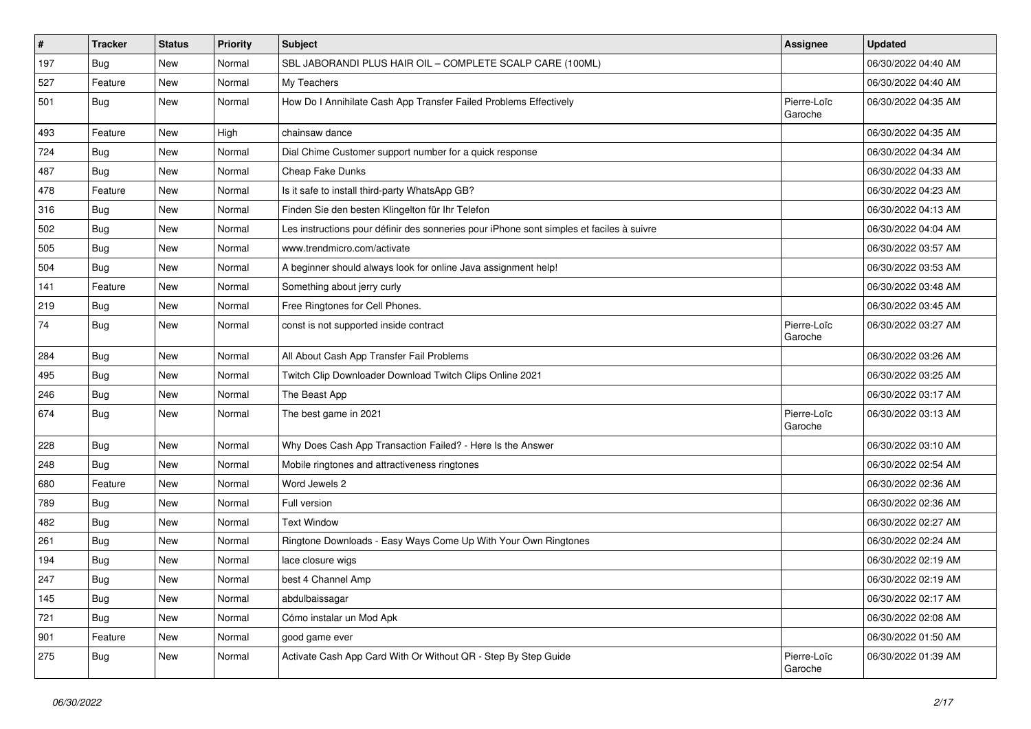| #   | <b>Tracker</b> | <b>Status</b> | <b>Priority</b> | Subject                                                                                  | <b>Assignee</b>        | <b>Updated</b>      |
|-----|----------------|---------------|-----------------|------------------------------------------------------------------------------------------|------------------------|---------------------|
| 197 | <b>Bug</b>     | New           | Normal          | SBL JABORANDI PLUS HAIR OIL - COMPLETE SCALP CARE (100ML)                                |                        | 06/30/2022 04:40 AM |
| 527 | Feature        | New           | Normal          | My Teachers                                                                              |                        | 06/30/2022 04:40 AM |
| 501 | Bug            | New           | Normal          | How Do I Annihilate Cash App Transfer Failed Problems Effectively                        | Pierre-Loïc<br>Garoche | 06/30/2022 04:35 AM |
| 493 | Feature        | New           | High            | chainsaw dance                                                                           |                        | 06/30/2022 04:35 AM |
| 724 | Bug            | New           | Normal          | Dial Chime Customer support number for a quick response                                  |                        | 06/30/2022 04:34 AM |
| 487 | Bug            | New           | Normal          | Cheap Fake Dunks                                                                         |                        | 06/30/2022 04:33 AM |
| 478 | Feature        | New           | Normal          | Is it safe to install third-party WhatsApp GB?                                           |                        | 06/30/2022 04:23 AM |
| 316 | Bug            | New           | Normal          | Finden Sie den besten Klingelton für Ihr Telefon                                         |                        | 06/30/2022 04:13 AM |
| 502 | <b>Bug</b>     | New           | Normal          | Les instructions pour définir des sonneries pour iPhone sont simples et faciles à suivre |                        | 06/30/2022 04:04 AM |
| 505 | <b>Bug</b>     | New           | Normal          | www.trendmicro.com/activate                                                              |                        | 06/30/2022 03:57 AM |
| 504 | <b>Bug</b>     | New           | Normal          | A beginner should always look for online Java assignment help!                           |                        | 06/30/2022 03:53 AM |
| 141 | Feature        | New           | Normal          | Something about jerry curly                                                              |                        | 06/30/2022 03:48 AM |
| 219 | <b>Bug</b>     | New           | Normal          | Free Ringtones for Cell Phones.                                                          |                        | 06/30/2022 03:45 AM |
| 74  | Bug            | New           | Normal          | const is not supported inside contract                                                   | Pierre-Loïc<br>Garoche | 06/30/2022 03:27 AM |
| 284 | <b>Bug</b>     | New           | Normal          | All About Cash App Transfer Fail Problems                                                |                        | 06/30/2022 03:26 AM |
| 495 | <b>Bug</b>     | New           | Normal          | Twitch Clip Downloader Download Twitch Clips Online 2021                                 |                        | 06/30/2022 03:25 AM |
| 246 | <b>Bug</b>     | New           | Normal          | The Beast App                                                                            |                        | 06/30/2022 03:17 AM |
| 674 | <b>Bug</b>     | New           | Normal          | The best game in 2021                                                                    | Pierre-Loïc<br>Garoche | 06/30/2022 03:13 AM |
| 228 | <b>Bug</b>     | New           | Normal          | Why Does Cash App Transaction Failed? - Here Is the Answer                               |                        | 06/30/2022 03:10 AM |
| 248 | Bug            | New           | Normal          | Mobile ringtones and attractiveness ringtones                                            |                        | 06/30/2022 02:54 AM |
| 680 | Feature        | New           | Normal          | Word Jewels 2                                                                            |                        | 06/30/2022 02:36 AM |
| 789 | <b>Bug</b>     | New           | Normal          | Full version                                                                             |                        | 06/30/2022 02:36 AM |
| 482 | Bug            | New           | Normal          | <b>Text Window</b>                                                                       |                        | 06/30/2022 02:27 AM |
| 261 | <b>Bug</b>     | New           | Normal          | Ringtone Downloads - Easy Ways Come Up With Your Own Ringtones                           |                        | 06/30/2022 02:24 AM |
| 194 | <b>Bug</b>     | New           | Normal          | lace closure wigs                                                                        |                        | 06/30/2022 02:19 AM |
| 247 | Bug            | New           | Normal          | best 4 Channel Amp                                                                       |                        | 06/30/2022 02:19 AM |
| 145 | Bug            | New           | Normal          | abdulbaissagar                                                                           |                        | 06/30/2022 02:17 AM |
| 721 | <b>Bug</b>     | New           | Normal          | Cómo instalar un Mod Apk                                                                 |                        | 06/30/2022 02:08 AM |
| 901 | Feature        | New           | Normal          | good game ever                                                                           |                        | 06/30/2022 01:50 AM |
| 275 | Bug            | New           | Normal          | Activate Cash App Card With Or Without QR - Step By Step Guide                           | Pierre-Loïc<br>Garoche | 06/30/2022 01:39 AM |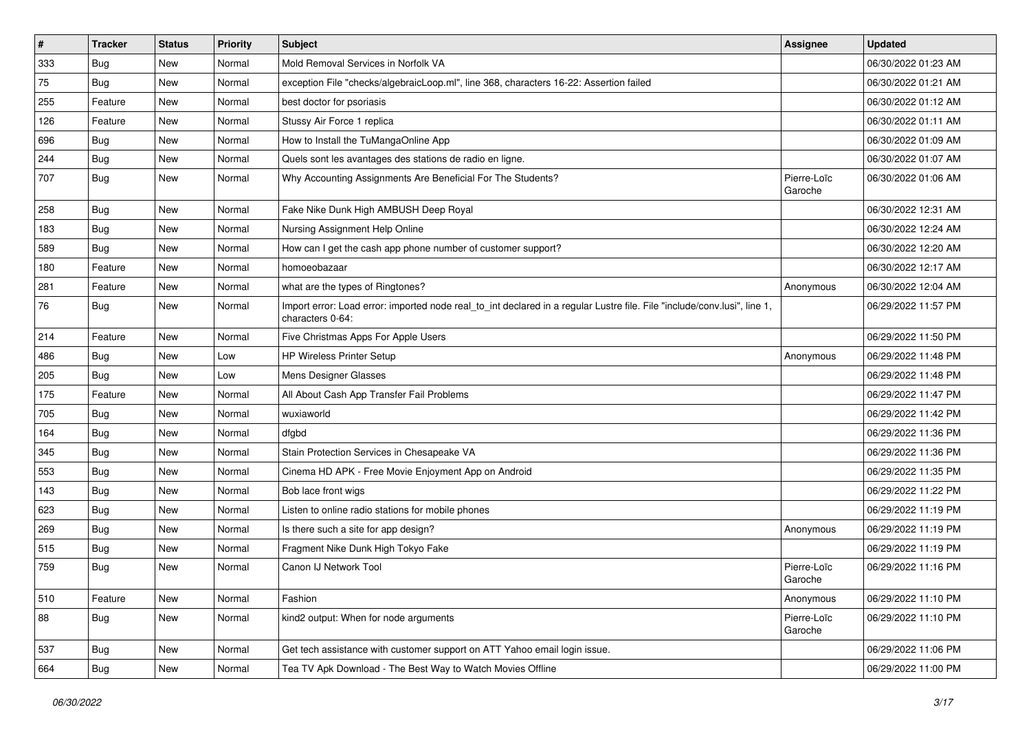| #   | <b>Tracker</b> | <b>Status</b> | Priority | <b>Subject</b>                                                                                                                               | <b>Assignee</b>        | <b>Updated</b>      |
|-----|----------------|---------------|----------|----------------------------------------------------------------------------------------------------------------------------------------------|------------------------|---------------------|
| 333 | <b>Bug</b>     | New           | Normal   | Mold Removal Services in Norfolk VA                                                                                                          |                        | 06/30/2022 01:23 AM |
| 75  | <b>Bug</b>     | <b>New</b>    | Normal   | exception File "checks/algebraicLoop.ml", line 368, characters 16-22: Assertion failed                                                       |                        | 06/30/2022 01:21 AM |
| 255 | Feature        | New           | Normal   | best doctor for psoriasis                                                                                                                    |                        | 06/30/2022 01:12 AM |
| 126 | Feature        | New           | Normal   | Stussy Air Force 1 replica                                                                                                                   |                        | 06/30/2022 01:11 AM |
| 696 | Bug            | New           | Normal   | How to Install the TuMangaOnline App                                                                                                         |                        | 06/30/2022 01:09 AM |
| 244 | Bug            | New           | Normal   | Quels sont les avantages des stations de radio en ligne.                                                                                     |                        | 06/30/2022 01:07 AM |
| 707 | <b>Bug</b>     | New           | Normal   | Why Accounting Assignments Are Beneficial For The Students?                                                                                  | Pierre-Loïc<br>Garoche | 06/30/2022 01:06 AM |
| 258 | Bug            | New           | Normal   | Fake Nike Dunk High AMBUSH Deep Royal                                                                                                        |                        | 06/30/2022 12:31 AM |
| 183 | Bug            | <b>New</b>    | Normal   | Nursing Assignment Help Online                                                                                                               |                        | 06/30/2022 12:24 AM |
| 589 | Bug            | New           | Normal   | How can I get the cash app phone number of customer support?                                                                                 |                        | 06/30/2022 12:20 AM |
| 180 | Feature        | New           | Normal   | homoeobazaar                                                                                                                                 |                        | 06/30/2022 12:17 AM |
| 281 | Feature        | <b>New</b>    | Normal   | what are the types of Ringtones?                                                                                                             | Anonymous              | 06/30/2022 12:04 AM |
| 76  | <b>Bug</b>     | New           | Normal   | Import error: Load error: imported node real_to_int declared in a regular Lustre file. File "include/conv.lusi", line 1,<br>characters 0-64: |                        | 06/29/2022 11:57 PM |
| 214 | Feature        | <b>New</b>    | Normal   | Five Christmas Apps For Apple Users                                                                                                          |                        | 06/29/2022 11:50 PM |
| 486 | Bug            | New           | Low      | <b>HP Wireless Printer Setup</b>                                                                                                             | Anonymous              | 06/29/2022 11:48 PM |
| 205 | <b>Bug</b>     | New           | Low      | Mens Designer Glasses                                                                                                                        |                        | 06/29/2022 11:48 PM |
| 175 | Feature        | New           | Normal   | All About Cash App Transfer Fail Problems                                                                                                    |                        | 06/29/2022 11:47 PM |
| 705 | Bug            | New           | Normal   | wuxiaworld                                                                                                                                   |                        | 06/29/2022 11:42 PM |
| 164 | Bug            | <b>New</b>    | Normal   | dfgbd                                                                                                                                        |                        | 06/29/2022 11:36 PM |
| 345 | Bug            | New           | Normal   | Stain Protection Services in Chesapeake VA                                                                                                   |                        | 06/29/2022 11:36 PM |
| 553 | Bug            | New           | Normal   | Cinema HD APK - Free Movie Enjoyment App on Android                                                                                          |                        | 06/29/2022 11:35 PM |
| 143 | Bug            | New           | Normal   | Bob lace front wigs                                                                                                                          |                        | 06/29/2022 11:22 PM |
| 623 | <b>Bug</b>     | New           | Normal   | Listen to online radio stations for mobile phones                                                                                            |                        | 06/29/2022 11:19 PM |
| 269 | Bug            | <b>New</b>    | Normal   | Is there such a site for app design?                                                                                                         | Anonymous              | 06/29/2022 11:19 PM |
| 515 | <b>Bug</b>     | New           | Normal   | Fragment Nike Dunk High Tokyo Fake                                                                                                           |                        | 06/29/2022 11:19 PM |
| 759 | <b>Bug</b>     | New           | Normal   | Canon IJ Network Tool                                                                                                                        | Pierre-Loïc<br>Garoche | 06/29/2022 11:16 PM |
| 510 | Feature        | <b>New</b>    | Normal   | Fashion                                                                                                                                      | Anonymous              | 06/29/2022 11:10 PM |
| 88  | <b>Bug</b>     | New           | Normal   | kind2 output: When for node arguments                                                                                                        | Pierre-Loïc<br>Garoche | 06/29/2022 11:10 PM |
| 537 | Bug            | <b>New</b>    | Normal   | Get tech assistance with customer support on ATT Yahoo email login issue.                                                                    |                        | 06/29/2022 11:06 PM |
| 664 | <b>Bug</b>     | New           | Normal   | Tea TV Apk Download - The Best Way to Watch Movies Offline                                                                                   |                        | 06/29/2022 11:00 PM |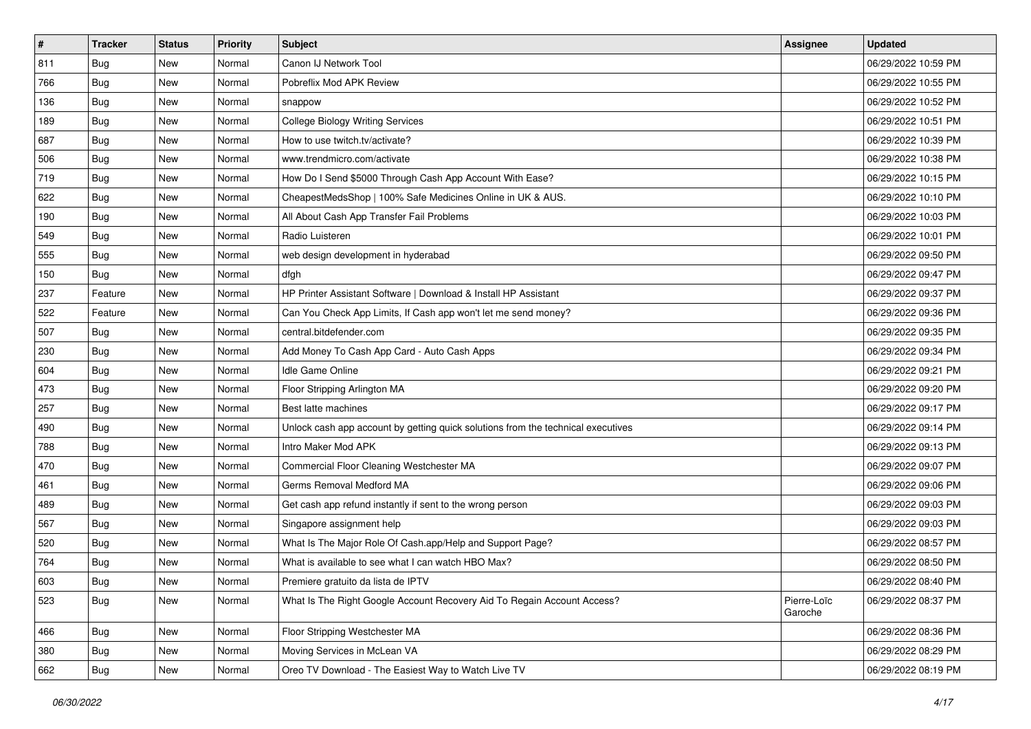| #   | <b>Tracker</b> | <b>Status</b> | <b>Priority</b> | <b>Subject</b>                                                                   | <b>Assignee</b>        | <b>Updated</b>      |
|-----|----------------|---------------|-----------------|----------------------------------------------------------------------------------|------------------------|---------------------|
| 811 | Bug            | New           | Normal          | Canon IJ Network Tool                                                            |                        | 06/29/2022 10:59 PM |
| 766 | Bug            | New           | Normal          | Pobreflix Mod APK Review                                                         |                        | 06/29/2022 10:55 PM |
| 136 | <b>Bug</b>     | New           | Normal          | snappow                                                                          |                        | 06/29/2022 10:52 PM |
| 189 | <b>Bug</b>     | New           | Normal          | <b>College Biology Writing Services</b>                                          |                        | 06/29/2022 10:51 PM |
| 687 | <b>Bug</b>     | New           | Normal          | How to use twitch.tv/activate?                                                   |                        | 06/29/2022 10:39 PM |
| 506 | <b>Bug</b>     | New           | Normal          | www.trendmicro.com/activate                                                      |                        | 06/29/2022 10:38 PM |
| 719 | <b>Bug</b>     | New           | Normal          | How Do I Send \$5000 Through Cash App Account With Ease?                         |                        | 06/29/2022 10:15 PM |
| 622 | <b>Bug</b>     | New           | Normal          | CheapestMedsShop   100% Safe Medicines Online in UK & AUS.                       |                        | 06/29/2022 10:10 PM |
| 190 | <b>Bug</b>     | New           | Normal          | All About Cash App Transfer Fail Problems                                        |                        | 06/29/2022 10:03 PM |
| 549 | <b>Bug</b>     | <b>New</b>    | Normal          | Radio Luisteren                                                                  |                        | 06/29/2022 10:01 PM |
| 555 | <b>Bug</b>     | New           | Normal          | web design development in hyderabad                                              |                        | 06/29/2022 09:50 PM |
| 150 | <b>Bug</b>     | New           | Normal          | dfgh                                                                             |                        | 06/29/2022 09:47 PM |
| 237 | Feature        | New           | Normal          | HP Printer Assistant Software   Download & Install HP Assistant                  |                        | 06/29/2022 09:37 PM |
| 522 | Feature        | New           | Normal          | Can You Check App Limits, If Cash app won't let me send money?                   |                        | 06/29/2022 09:36 PM |
| 507 | Bug            | New           | Normal          | central.bitdefender.com                                                          |                        | 06/29/2022 09:35 PM |
| 230 | <b>Bug</b>     | New           | Normal          | Add Money To Cash App Card - Auto Cash Apps                                      |                        | 06/29/2022 09:34 PM |
| 604 | Bug            | New           | Normal          | Idle Game Online                                                                 |                        | 06/29/2022 09:21 PM |
| 473 | Bug            | New           | Normal          | Floor Stripping Arlington MA                                                     |                        | 06/29/2022 09:20 PM |
| 257 | <b>Bug</b>     | New           | Normal          | Best latte machines                                                              |                        | 06/29/2022 09:17 PM |
| 490 | Bug            | New           | Normal          | Unlock cash app account by getting quick solutions from the technical executives |                        | 06/29/2022 09:14 PM |
| 788 | Bug            | New           | Normal          | Intro Maker Mod APK                                                              |                        | 06/29/2022 09:13 PM |
| 470 | <b>Bug</b>     | New           | Normal          | Commercial Floor Cleaning Westchester MA                                         |                        | 06/29/2022 09:07 PM |
| 461 | <b>Bug</b>     | <b>New</b>    | Normal          | Germs Removal Medford MA                                                         |                        | 06/29/2022 09:06 PM |
| 489 | <b>Bug</b>     | New           | Normal          | Get cash app refund instantly if sent to the wrong person                        |                        | 06/29/2022 09:03 PM |
| 567 | Bug            | New           | Normal          | Singapore assignment help                                                        |                        | 06/29/2022 09:03 PM |
| 520 | <b>Bug</b>     | New           | Normal          | What Is The Major Role Of Cash.app/Help and Support Page?                        |                        | 06/29/2022 08:57 PM |
| 764 | <b>Bug</b>     | New           | Normal          | What is available to see what I can watch HBO Max?                               |                        | 06/29/2022 08:50 PM |
| 603 | <b>Bug</b>     | New           | Normal          | Premiere gratuito da lista de IPTV                                               |                        | 06/29/2022 08:40 PM |
| 523 | <b>Bug</b>     | New           | Normal          | What Is The Right Google Account Recovery Aid To Regain Account Access?          | Pierre-Loïc<br>Garoche | 06/29/2022 08:37 PM |
| 466 | Bug            | New           | Normal          | Floor Stripping Westchester MA                                                   |                        | 06/29/2022 08:36 PM |
| 380 | <b>Bug</b>     | New           | Normal          | Moving Services in McLean VA                                                     |                        | 06/29/2022 08:29 PM |
| 662 | <b>Bug</b>     | New           | Normal          | Oreo TV Download - The Easiest Way to Watch Live TV                              |                        | 06/29/2022 08:19 PM |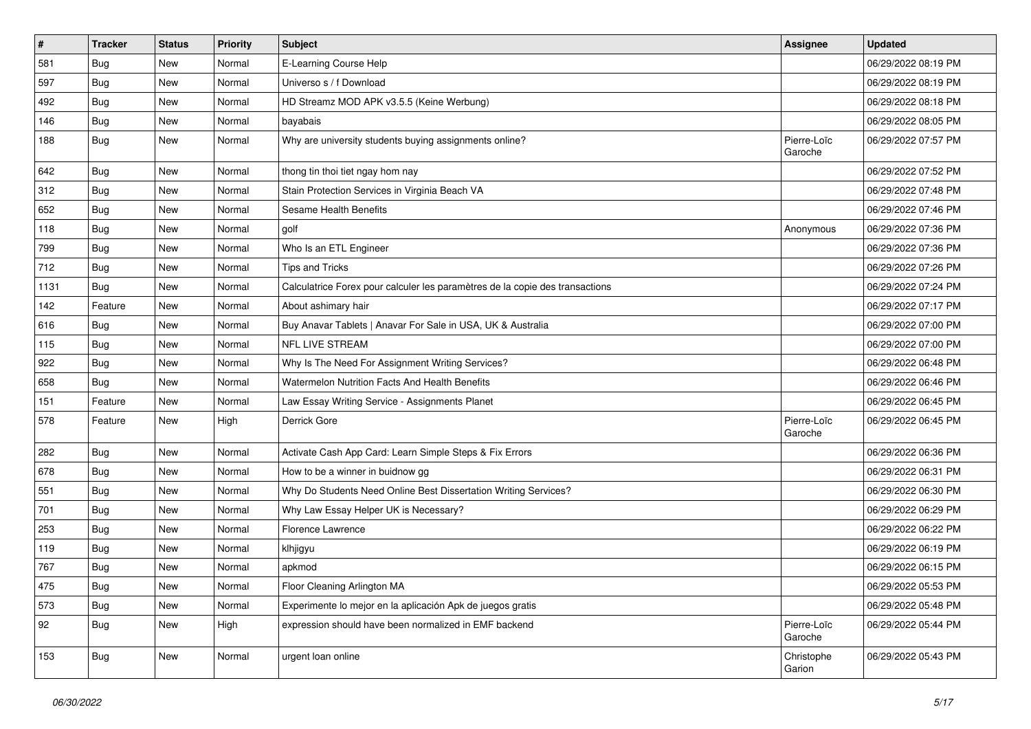| $\vert$ # | <b>Tracker</b> | <b>Status</b> | <b>Priority</b> | Subject                                                                      | Assignee               | <b>Updated</b>      |
|-----------|----------------|---------------|-----------------|------------------------------------------------------------------------------|------------------------|---------------------|
| 581       | <b>Bug</b>     | New           | Normal          | E-Learning Course Help                                                       |                        | 06/29/2022 08:19 PM |
| 597       | <b>Bug</b>     | New           | Normal          | Universo s / f Download                                                      |                        | 06/29/2022 08:19 PM |
| 492       | Bug            | New           | Normal          | HD Streamz MOD APK v3.5.5 (Keine Werbung)                                    |                        | 06/29/2022 08:18 PM |
| 146       | <b>Bug</b>     | New           | Normal          | bayabais                                                                     |                        | 06/29/2022 08:05 PM |
| 188       | <b>Bug</b>     | New           | Normal          | Why are university students buying assignments online?                       | Pierre-Loïc<br>Garoche | 06/29/2022 07:57 PM |
| 642       | Bug            | New           | Normal          | thong tin thoi tiet ngay hom nay                                             |                        | 06/29/2022 07:52 PM |
| 312       | <b>Bug</b>     | New           | Normal          | Stain Protection Services in Virginia Beach VA                               |                        | 06/29/2022 07:48 PM |
| 652       | Bug            | New           | Normal          | Sesame Health Benefits                                                       |                        | 06/29/2022 07:46 PM |
| 118       | Bug            | New           | Normal          | golf                                                                         | Anonymous              | 06/29/2022 07:36 PM |
| 799       | Bug            | New           | Normal          | Who Is an ETL Engineer                                                       |                        | 06/29/2022 07:36 PM |
| 712       | Bug            | New           | Normal          | <b>Tips and Tricks</b>                                                       |                        | 06/29/2022 07:26 PM |
| 1131      | Bug            | New           | Normal          | Calculatrice Forex pour calculer les paramètres de la copie des transactions |                        | 06/29/2022 07:24 PM |
| 142       | Feature        | <b>New</b>    | Normal          | About ashimary hair                                                          |                        | 06/29/2022 07:17 PM |
| 616       | Bug            | New           | Normal          | Buy Anavar Tablets   Anavar For Sale in USA, UK & Australia                  |                        | 06/29/2022 07:00 PM |
| 115       | Bug            | New           | Normal          | NFL LIVE STREAM                                                              |                        | 06/29/2022 07:00 PM |
| 922       | <b>Bug</b>     | New           | Normal          | Why Is The Need For Assignment Writing Services?                             |                        | 06/29/2022 06:48 PM |
| 658       | <b>Bug</b>     | New           | Normal          | Watermelon Nutrition Facts And Health Benefits                               |                        | 06/29/2022 06:46 PM |
| 151       | Feature        | New           | Normal          | Law Essay Writing Service - Assignments Planet                               |                        | 06/29/2022 06:45 PM |
| 578       | Feature        | New           | High            | Derrick Gore                                                                 | Pierre-Loïc<br>Garoche | 06/29/2022 06:45 PM |
| 282       | <b>Bug</b>     | New           | Normal          | Activate Cash App Card: Learn Simple Steps & Fix Errors                      |                        | 06/29/2022 06:36 PM |
| 678       | Bug            | New           | Normal          | How to be a winner in buidnow gg                                             |                        | 06/29/2022 06:31 PM |
| 551       | <b>Bug</b>     | New           | Normal          | Why Do Students Need Online Best Dissertation Writing Services?              |                        | 06/29/2022 06:30 PM |
| 701       | <b>Bug</b>     | New           | Normal          | Why Law Essay Helper UK is Necessary?                                        |                        | 06/29/2022 06:29 PM |
| 253       | <b>Bug</b>     | New           | Normal          | Florence Lawrence                                                            |                        | 06/29/2022 06:22 PM |
| 119       | Bug            | New           | Normal          | klhjigyu                                                                     |                        | 06/29/2022 06:19 PM |
| 767       | <b>Bug</b>     | <b>New</b>    | Normal          | apkmod                                                                       |                        | 06/29/2022 06:15 PM |
| 475       | <b>Bug</b>     | <b>New</b>    | Normal          | Floor Cleaning Arlington MA                                                  |                        | 06/29/2022 05:53 PM |
| 573       | <b>Bug</b>     | <b>New</b>    | Normal          | Experimente lo mejor en la aplicación Apk de juegos gratis                   |                        | 06/29/2022 05:48 PM |
| 92        | Bug            | New           | High            | expression should have been normalized in EMF backend                        | Pierre-Loïc<br>Garoche | 06/29/2022 05:44 PM |
| 153       | Bug            | New           | Normal          | urgent loan online                                                           | Christophe<br>Garion   | 06/29/2022 05:43 PM |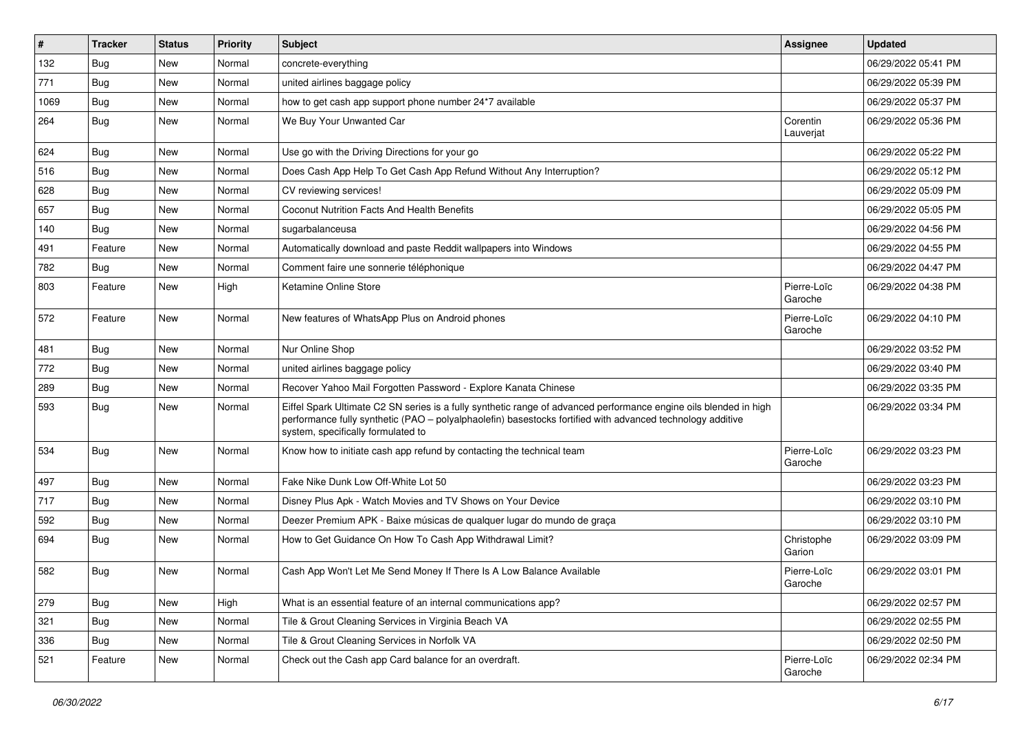| $\pmb{\sharp}$ | <b>Tracker</b> | <b>Status</b> | Priority | <b>Subject</b>                                                                                                                                                                                                                                                        | <b>Assignee</b>        | <b>Updated</b>      |
|----------------|----------------|---------------|----------|-----------------------------------------------------------------------------------------------------------------------------------------------------------------------------------------------------------------------------------------------------------------------|------------------------|---------------------|
| 132            | Bug            | New           | Normal   | concrete-everything                                                                                                                                                                                                                                                   |                        | 06/29/2022 05:41 PM |
| 771            | Bug            | New           | Normal   | united airlines baggage policy                                                                                                                                                                                                                                        |                        | 06/29/2022 05:39 PM |
| 1069           | Bug            | New           | Normal   | how to get cash app support phone number 24*7 available                                                                                                                                                                                                               |                        | 06/29/2022 05:37 PM |
| 264            | Bug            | New           | Normal   | We Buy Your Unwanted Car                                                                                                                                                                                                                                              | Corentin<br>Lauverjat  | 06/29/2022 05:36 PM |
| 624            | Bug            | New           | Normal   | Use go with the Driving Directions for your go                                                                                                                                                                                                                        |                        | 06/29/2022 05:22 PM |
| 516            | Bug            | New           | Normal   | Does Cash App Help To Get Cash App Refund Without Any Interruption?                                                                                                                                                                                                   |                        | 06/29/2022 05:12 PM |
| 628            | Bug            | New           | Normal   | CV reviewing services!                                                                                                                                                                                                                                                |                        | 06/29/2022 05:09 PM |
| 657            | Bug            | New           | Normal   | Coconut Nutrition Facts And Health Benefits                                                                                                                                                                                                                           |                        | 06/29/2022 05:05 PM |
| 140            | <b>Bug</b>     | New           | Normal   | sugarbalanceusa                                                                                                                                                                                                                                                       |                        | 06/29/2022 04:56 PM |
| 491            | Feature        | New           | Normal   | Automatically download and paste Reddit wallpapers into Windows                                                                                                                                                                                                       |                        | 06/29/2022 04:55 PM |
| 782            | <b>Bug</b>     | New           | Normal   | Comment faire une sonnerie téléphonique                                                                                                                                                                                                                               |                        | 06/29/2022 04:47 PM |
| 803            | Feature        | New           | High     | Ketamine Online Store                                                                                                                                                                                                                                                 | Pierre-Loïc<br>Garoche | 06/29/2022 04:38 PM |
| 572            | Feature        | New           | Normal   | New features of WhatsApp Plus on Android phones                                                                                                                                                                                                                       | Pierre-Loïc<br>Garoche | 06/29/2022 04:10 PM |
| 481            | Bug            | New           | Normal   | Nur Online Shop                                                                                                                                                                                                                                                       |                        | 06/29/2022 03:52 PM |
| 772            | Bug            | New           | Normal   | united airlines baggage policy                                                                                                                                                                                                                                        |                        | 06/29/2022 03:40 PM |
| 289            | <b>Bug</b>     | New           | Normal   | Recover Yahoo Mail Forgotten Password - Explore Kanata Chinese                                                                                                                                                                                                        |                        | 06/29/2022 03:35 PM |
| 593            | Bug            | New           | Normal   | Eiffel Spark Ultimate C2 SN series is a fully synthetic range of advanced performance engine oils blended in high<br>performance fully synthetic (PAO – polyalphaolefin) basestocks fortified with advanced technology additive<br>system, specifically formulated to |                        | 06/29/2022 03:34 PM |
| 534            | Bug            | New           | Normal   | Know how to initiate cash app refund by contacting the technical team                                                                                                                                                                                                 | Pierre-Loïc<br>Garoche | 06/29/2022 03:23 PM |
| 497            | Bug            | New           | Normal   | Fake Nike Dunk Low Off-White Lot 50                                                                                                                                                                                                                                   |                        | 06/29/2022 03:23 PM |
| 717            | Bug            | New           | Normal   | Disney Plus Apk - Watch Movies and TV Shows on Your Device                                                                                                                                                                                                            |                        | 06/29/2022 03:10 PM |
| 592            | <b>Bug</b>     | New           | Normal   | Deezer Premium APK - Baixe músicas de qualquer lugar do mundo de graça                                                                                                                                                                                                |                        | 06/29/2022 03:10 PM |
| 694            | <b>Bug</b>     | New           | Normal   | How to Get Guidance On How To Cash App Withdrawal Limit?                                                                                                                                                                                                              | Christophe<br>Garion   | 06/29/2022 03:09 PM |
| 582            | <b>Bug</b>     | New           | Normal   | Cash App Won't Let Me Send Money If There Is A Low Balance Available                                                                                                                                                                                                  | Pierre-Loïc<br>Garoche | 06/29/2022 03:01 PM |
| 279            | <b>Bug</b>     | New           | High     | What is an essential feature of an internal communications app?                                                                                                                                                                                                       |                        | 06/29/2022 02:57 PM |
| 321            | Bug            | New           | Normal   | Tile & Grout Cleaning Services in Virginia Beach VA                                                                                                                                                                                                                   |                        | 06/29/2022 02:55 PM |
| 336            | Bug            | New           | Normal   | Tile & Grout Cleaning Services in Norfolk VA                                                                                                                                                                                                                          |                        | 06/29/2022 02:50 PM |
| 521            | Feature        | New           | Normal   | Check out the Cash app Card balance for an overdraft.                                                                                                                                                                                                                 | Pierre-Loïc<br>Garoche | 06/29/2022 02:34 PM |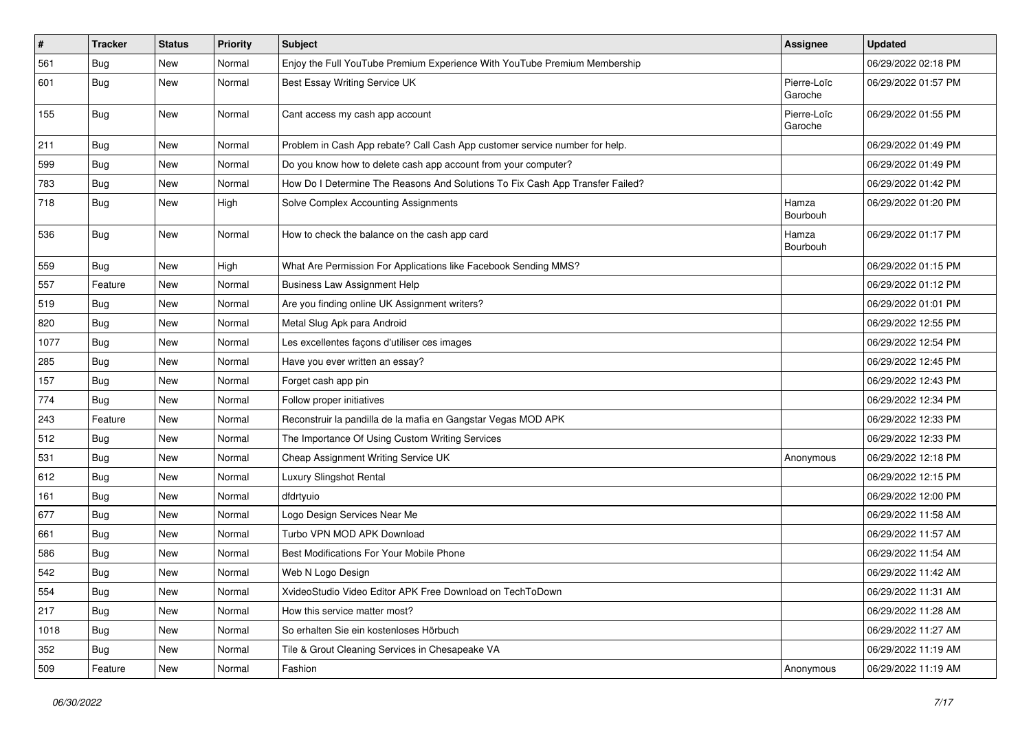| $\pmb{\sharp}$ | <b>Tracker</b> | <b>Status</b> | Priority | <b>Subject</b>                                                                | <b>Assignee</b>        | <b>Updated</b>      |
|----------------|----------------|---------------|----------|-------------------------------------------------------------------------------|------------------------|---------------------|
| 561            | <b>Bug</b>     | New           | Normal   | Enjoy the Full YouTube Premium Experience With YouTube Premium Membership     |                        | 06/29/2022 02:18 PM |
| 601            | <b>Bug</b>     | New           | Normal   | Best Essay Writing Service UK                                                 | Pierre-Loïc<br>Garoche | 06/29/2022 01:57 PM |
| 155            | Bug            | New           | Normal   | Cant access my cash app account                                               | Pierre-Loïc<br>Garoche | 06/29/2022 01:55 PM |
| 211            | Bug            | New           | Normal   | Problem in Cash App rebate? Call Cash App customer service number for help.   |                        | 06/29/2022 01:49 PM |
| 599            | Bug            | New           | Normal   | Do you know how to delete cash app account from your computer?                |                        | 06/29/2022 01:49 PM |
| 783            | Bug            | New           | Normal   | How Do I Determine The Reasons And Solutions To Fix Cash App Transfer Failed? |                        | 06/29/2022 01:42 PM |
| 718            | Bug            | New           | High     | Solve Complex Accounting Assignments                                          | Hamza<br>Bourbouh      | 06/29/2022 01:20 PM |
| 536            | Bug            | New           | Normal   | How to check the balance on the cash app card                                 | Hamza<br>Bourbouh      | 06/29/2022 01:17 PM |
| 559            | <b>Bug</b>     | New           | High     | What Are Permission For Applications like Facebook Sending MMS?               |                        | 06/29/2022 01:15 PM |
| 557            | Feature        | New           | Normal   | <b>Business Law Assignment Help</b>                                           |                        | 06/29/2022 01:12 PM |
| 519            | <b>Bug</b>     | New           | Normal   | Are you finding online UK Assignment writers?                                 |                        | 06/29/2022 01:01 PM |
| 820            | Bug            | New           | Normal   | Metal Slug Apk para Android                                                   |                        | 06/29/2022 12:55 PM |
| 1077           | Bug            | New           | Normal   | Les excellentes façons d'utiliser ces images                                  |                        | 06/29/2022 12:54 PM |
| 285            | <b>Bug</b>     | New           | Normal   | Have you ever written an essay?                                               |                        | 06/29/2022 12:45 PM |
| 157            | Bug            | New           | Normal   | Forget cash app pin                                                           |                        | 06/29/2022 12:43 PM |
| 774            | <b>Bug</b>     | New           | Normal   | Follow proper initiatives                                                     |                        | 06/29/2022 12:34 PM |
| 243            | Feature        | New           | Normal   | Reconstruir la pandilla de la mafia en Gangstar Vegas MOD APK                 |                        | 06/29/2022 12:33 PM |
| 512            | <b>Bug</b>     | New           | Normal   | The Importance Of Using Custom Writing Services                               |                        | 06/29/2022 12:33 PM |
| 531            | <b>Bug</b>     | New           | Normal   | Cheap Assignment Writing Service UK                                           | Anonymous              | 06/29/2022 12:18 PM |
| 612            | Bug            | New           | Normal   | Luxury Slingshot Rental                                                       |                        | 06/29/2022 12:15 PM |
| 161            | Bug            | New           | Normal   | dfdrtyuio                                                                     |                        | 06/29/2022 12:00 PM |
| 677            | Bug            | New           | Normal   | Logo Design Services Near Me                                                  |                        | 06/29/2022 11:58 AM |
| 661            | <b>Bug</b>     | New           | Normal   | Turbo VPN MOD APK Download                                                    |                        | 06/29/2022 11:57 AM |
| 586            | <b>Bug</b>     | New           | Normal   | Best Modifications For Your Mobile Phone                                      |                        | 06/29/2022 11:54 AM |
| 542            | <b>Bug</b>     | New           | Normal   | Web N Logo Design                                                             |                        | 06/29/2022 11:42 AM |
| 554            | <b>Bug</b>     | New           | Normal   | XvideoStudio Video Editor APK Free Download on TechToDown                     |                        | 06/29/2022 11:31 AM |
| 217            | <b>Bug</b>     | New           | Normal   | How this service matter most?                                                 |                        | 06/29/2022 11:28 AM |
| 1018           | <b>Bug</b>     | New           | Normal   | So erhalten Sie ein kostenloses Hörbuch                                       |                        | 06/29/2022 11:27 AM |
| 352            | <b>Bug</b>     | New           | Normal   | Tile & Grout Cleaning Services in Chesapeake VA                               |                        | 06/29/2022 11:19 AM |
| 509            | Feature        | New           | Normal   | Fashion                                                                       | Anonymous              | 06/29/2022 11:19 AM |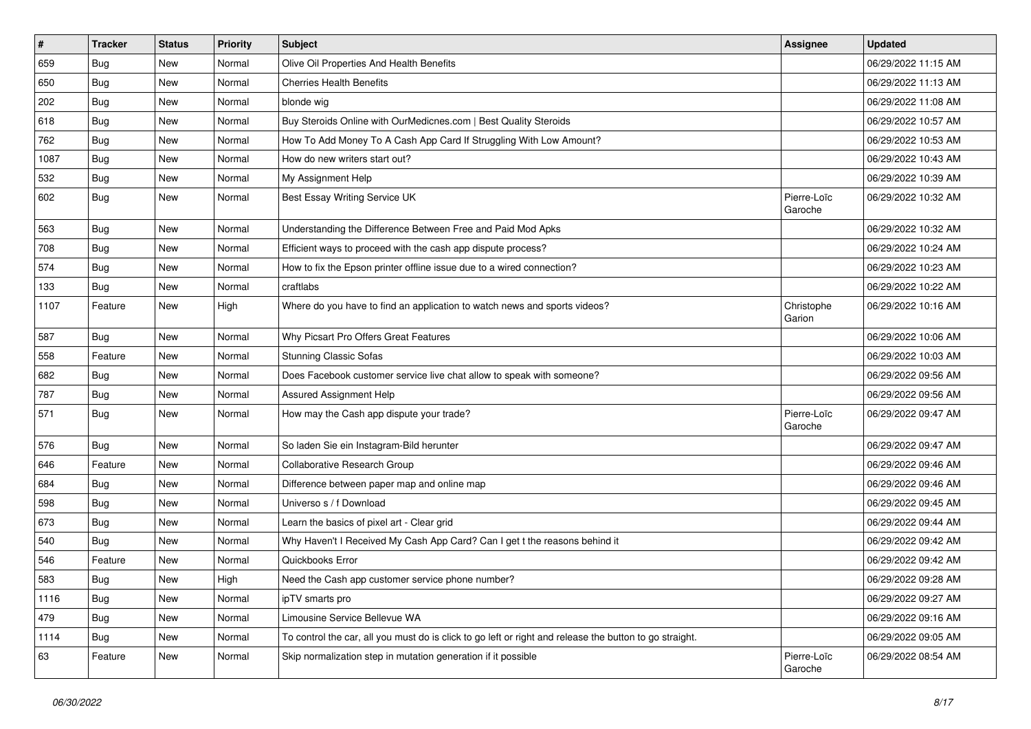| $\sharp$ | <b>Tracker</b> | <b>Status</b> | Priority | <b>Subject</b>                                                                                          | <b>Assignee</b>        | <b>Updated</b>      |
|----------|----------------|---------------|----------|---------------------------------------------------------------------------------------------------------|------------------------|---------------------|
| 659      | <b>Bug</b>     | New           | Normal   | Olive Oil Properties And Health Benefits                                                                |                        | 06/29/2022 11:15 AM |
| 650      | <b>Bug</b>     | New           | Normal   | <b>Cherries Health Benefits</b>                                                                         |                        | 06/29/2022 11:13 AM |
| 202      | <b>Bug</b>     | New           | Normal   | blonde wig                                                                                              |                        | 06/29/2022 11:08 AM |
| 618      | Bug            | New           | Normal   | Buy Steroids Online with OurMedicnes.com   Best Quality Steroids                                        |                        | 06/29/2022 10:57 AM |
| 762      | Bug            | New           | Normal   | How To Add Money To A Cash App Card If Struggling With Low Amount?                                      |                        | 06/29/2022 10:53 AM |
| 1087     | <b>Bug</b>     | New           | Normal   | How do new writers start out?                                                                           |                        | 06/29/2022 10:43 AM |
| 532      | Bug            | New           | Normal   | My Assignment Help                                                                                      |                        | 06/29/2022 10:39 AM |
| 602      | <b>Bug</b>     | New           | Normal   | Best Essay Writing Service UK                                                                           | Pierre-Loïc<br>Garoche | 06/29/2022 10:32 AM |
| 563      | Bug            | New           | Normal   | Understanding the Difference Between Free and Paid Mod Apks                                             |                        | 06/29/2022 10:32 AM |
| 708      | <b>Bug</b>     | New           | Normal   | Efficient ways to proceed with the cash app dispute process?                                            |                        | 06/29/2022 10:24 AM |
| 574      | <b>Bug</b>     | New           | Normal   | How to fix the Epson printer offline issue due to a wired connection?                                   |                        | 06/29/2022 10:23 AM |
| 133      | Bug            | New           | Normal   | craftlabs                                                                                               |                        | 06/29/2022 10:22 AM |
| 1107     | Feature        | New           | High     | Where do you have to find an application to watch news and sports videos?                               | Christophe<br>Garion   | 06/29/2022 10:16 AM |
| 587      | Bug            | New           | Normal   | Why Picsart Pro Offers Great Features                                                                   |                        | 06/29/2022 10:06 AM |
| 558      | Feature        | New           | Normal   | <b>Stunning Classic Sofas</b>                                                                           |                        | 06/29/2022 10:03 AM |
| 682      | Bug            | New           | Normal   | Does Facebook customer service live chat allow to speak with someone?                                   |                        | 06/29/2022 09:56 AM |
| 787      | <b>Bug</b>     | New           | Normal   | Assured Assignment Help                                                                                 |                        | 06/29/2022 09:56 AM |
| 571      | <b>Bug</b>     | New           | Normal   | How may the Cash app dispute your trade?                                                                | Pierre-Loïc<br>Garoche | 06/29/2022 09:47 AM |
| 576      | Bug            | New           | Normal   | So laden Sie ein Instagram-Bild herunter                                                                |                        | 06/29/2022 09:47 AM |
| 646      | Feature        | New           | Normal   | Collaborative Research Group                                                                            |                        | 06/29/2022 09:46 AM |
| 684      | <b>Bug</b>     | New           | Normal   | Difference between paper map and online map                                                             |                        | 06/29/2022 09:46 AM |
| 598      | <b>Bug</b>     | New           | Normal   | Universo s / f Download                                                                                 |                        | 06/29/2022 09:45 AM |
| 673      | Bug            | New           | Normal   | Learn the basics of pixel art - Clear grid                                                              |                        | 06/29/2022 09:44 AM |
| 540      | <b>Bug</b>     | New           | Normal   | Why Haven't I Received My Cash App Card? Can I get t the reasons behind it                              |                        | 06/29/2022 09:42 AM |
| 546      | Feature        | New           | Normal   | Quickbooks Error                                                                                        |                        | 06/29/2022 09:42 AM |
| 583      | Bug            | New           | High     | Need the Cash app customer service phone number?                                                        |                        | 06/29/2022 09:28 AM |
| 1116     | Bug            | New           | Normal   | ipTV smarts pro                                                                                         |                        | 06/29/2022 09:27 AM |
| 479      | Bug            | New           | Normal   | Limousine Service Bellevue WA                                                                           |                        | 06/29/2022 09:16 AM |
| 1114     | <b>Bug</b>     | New           | Normal   | To control the car, all you must do is click to go left or right and release the button to go straight. |                        | 06/29/2022 09:05 AM |
| 63       | Feature        | New           | Normal   | Skip normalization step in mutation generation if it possible                                           | Pierre-Loïc<br>Garoche | 06/29/2022 08:54 AM |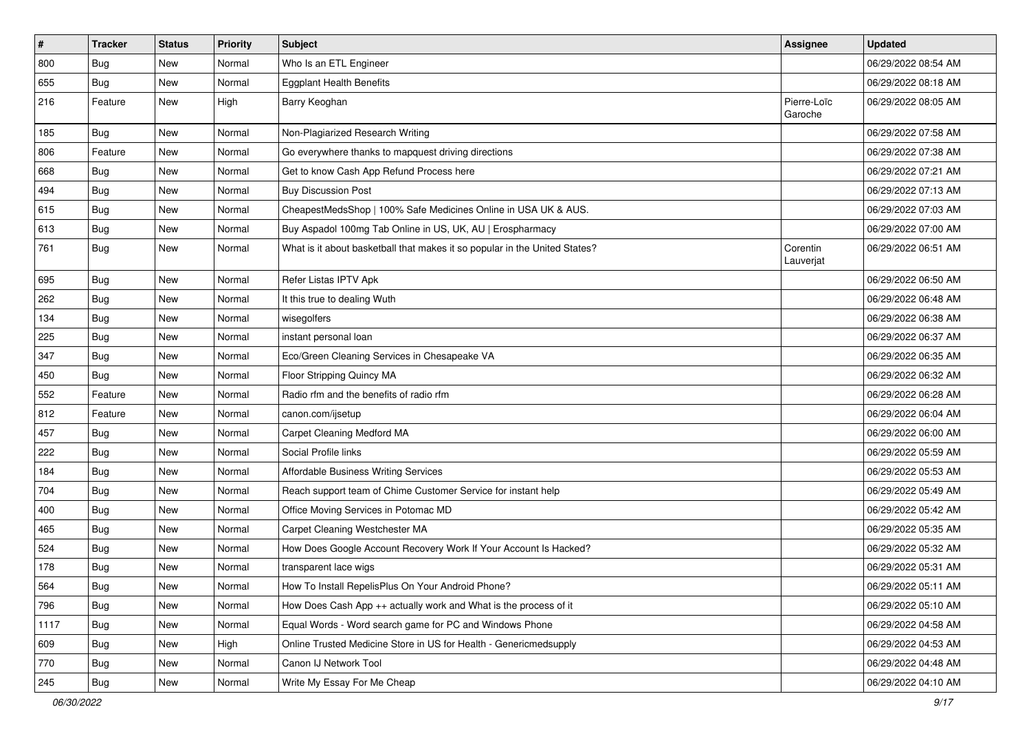| $\sharp$ | <b>Tracker</b> | <b>Status</b> | <b>Priority</b> | Subject                                                                    | <b>Assignee</b>        | <b>Updated</b>      |
|----------|----------------|---------------|-----------------|----------------------------------------------------------------------------|------------------------|---------------------|
| 800      | <b>Bug</b>     | New           | Normal          | Who Is an ETL Engineer                                                     |                        | 06/29/2022 08:54 AM |
| 655      | <b>Bug</b>     | New           | Normal          | <b>Eggplant Health Benefits</b>                                            |                        | 06/29/2022 08:18 AM |
| 216      | Feature        | New           | High            | Barry Keoghan                                                              | Pierre-Loïc<br>Garoche | 06/29/2022 08:05 AM |
| 185      | Bug            | New           | Normal          | Non-Plagiarized Research Writing                                           |                        | 06/29/2022 07:58 AM |
| 806      | Feature        | New           | Normal          | Go everywhere thanks to mapquest driving directions                        |                        | 06/29/2022 07:38 AM |
| 668      | Bug            | New           | Normal          | Get to know Cash App Refund Process here                                   |                        | 06/29/2022 07:21 AM |
| 494      | Bug            | New           | Normal          | <b>Buy Discussion Post</b>                                                 |                        | 06/29/2022 07:13 AM |
| 615      | Bug            | New           | Normal          | CheapestMedsShop   100% Safe Medicines Online in USA UK & AUS.             |                        | 06/29/2022 07:03 AM |
| 613      | Bug            | <b>New</b>    | Normal          | Buy Aspadol 100mg Tab Online in US, UK, AU   Erospharmacy                  |                        | 06/29/2022 07:00 AM |
| 761      | Bug            | New           | Normal          | What is it about basketball that makes it so popular in the United States? | Corentin<br>Lauverjat  | 06/29/2022 06:51 AM |
| 695      | Bug            | New           | Normal          | Refer Listas IPTV Apk                                                      |                        | 06/29/2022 06:50 AM |
| 262      | <b>Bug</b>     | New           | Normal          | It this true to dealing Wuth                                               |                        | 06/29/2022 06:48 AM |
| 134      | Bug            | New           | Normal          | wisegolfers                                                                |                        | 06/29/2022 06:38 AM |
| 225      | Bug            | New           | Normal          | instant personal loan                                                      |                        | 06/29/2022 06:37 AM |
| 347      | <b>Bug</b>     | New           | Normal          | Eco/Green Cleaning Services in Chesapeake VA                               |                        | 06/29/2022 06:35 AM |
| 450      | <b>Bug</b>     | New           | Normal          | Floor Stripping Quincy MA                                                  |                        | 06/29/2022 06:32 AM |
| 552      | Feature        | New           | Normal          | Radio rfm and the benefits of radio rfm                                    |                        | 06/29/2022 06:28 AM |
| 812      | Feature        | New           | Normal          | canon.com/ijsetup                                                          |                        | 06/29/2022 06:04 AM |
| 457      | Bug            | New           | Normal          | <b>Carpet Cleaning Medford MA</b>                                          |                        | 06/29/2022 06:00 AM |
| 222      | Bug            | New           | Normal          | Social Profile links                                                       |                        | 06/29/2022 05:59 AM |
| 184      | Bug            | New           | Normal          | Affordable Business Writing Services                                       |                        | 06/29/2022 05:53 AM |
| 704      | <b>Bug</b>     | New           | Normal          | Reach support team of Chime Customer Service for instant help              |                        | 06/29/2022 05:49 AM |
| 400      | <b>Bug</b>     | New           | Normal          | Office Moving Services in Potomac MD                                       |                        | 06/29/2022 05:42 AM |
| 465      | Bug            | New           | Normal          | Carpet Cleaning Westchester MA                                             |                        | 06/29/2022 05:35 AM |
| 524      | <b>Bug</b>     | New           | Normal          | How Does Google Account Recovery Work If Your Account Is Hacked?           |                        | 06/29/2022 05:32 AM |
| 178      | <b>Bug</b>     | New           | Normal          | transparent lace wigs                                                      |                        | 06/29/2022 05:31 AM |
| 564      | Bug            | New           | Normal          | How To Install RepelisPlus On Your Android Phone?                          |                        | 06/29/2022 05:11 AM |
| 796      | Bug            | New           | Normal          | How Does Cash App ++ actually work and What is the process of it           |                        | 06/29/2022 05:10 AM |
| 1117     | Bug            | New           | Normal          | Equal Words - Word search game for PC and Windows Phone                    |                        | 06/29/2022 04:58 AM |
| 609      | <b>Bug</b>     | New           | High            | Online Trusted Medicine Store in US for Health - Genericmedsupply          |                        | 06/29/2022 04:53 AM |
| 770      | <b>Bug</b>     | New           | Normal          | Canon IJ Network Tool                                                      |                        | 06/29/2022 04:48 AM |
| 245      | <b>Bug</b>     | New           | Normal          | Write My Essay For Me Cheap                                                |                        | 06/29/2022 04:10 AM |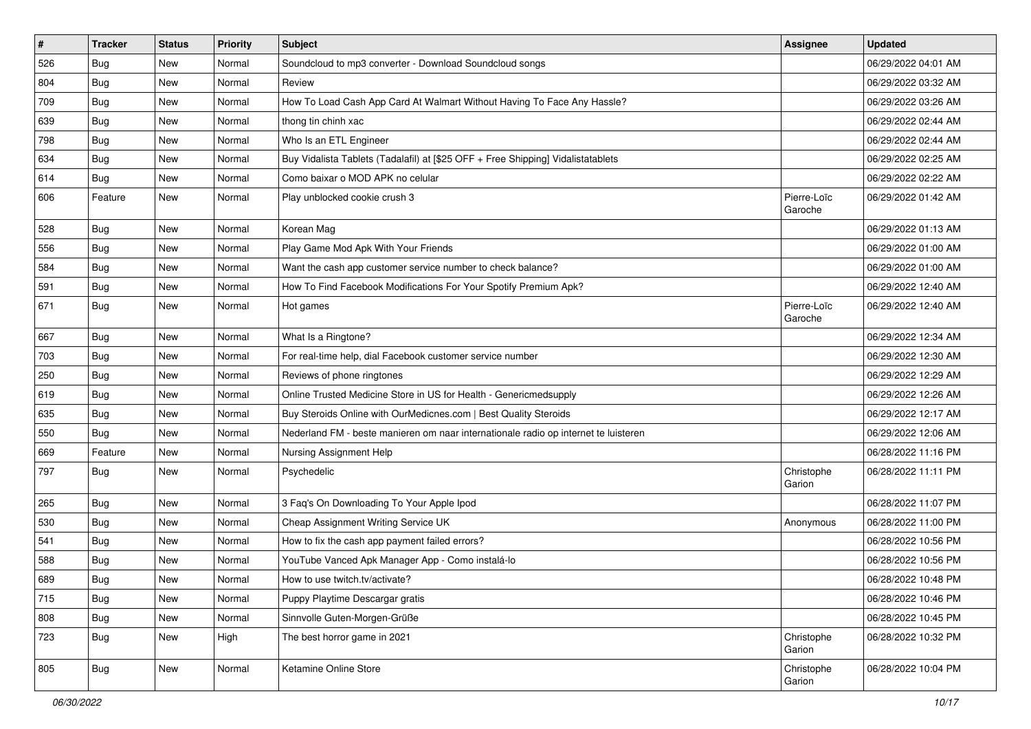| $\vert$ # | <b>Tracker</b> | <b>Status</b> | <b>Priority</b> | <b>Subject</b>                                                                      | <b>Assignee</b>        | <b>Updated</b>      |
|-----------|----------------|---------------|-----------------|-------------------------------------------------------------------------------------|------------------------|---------------------|
| 526       | <b>Bug</b>     | New           | Normal          | Soundcloud to mp3 converter - Download Soundcloud songs                             |                        | 06/29/2022 04:01 AM |
| 804       | <b>Bug</b>     | New           | Normal          | Review                                                                              |                        | 06/29/2022 03:32 AM |
| 709       | <b>Bug</b>     | New           | Normal          | How To Load Cash App Card At Walmart Without Having To Face Any Hassle?             |                        | 06/29/2022 03:26 AM |
| 639       | <b>Bug</b>     | New           | Normal          | thong tin chinh xac                                                                 |                        | 06/29/2022 02:44 AM |
| 798       | Bug            | New           | Normal          | Who Is an ETL Engineer                                                              |                        | 06/29/2022 02:44 AM |
| 634       | Bug            | New           | Normal          | Buy Vidalista Tablets (Tadalafil) at [\$25 OFF + Free Shipping] Vidalistatablets    |                        | 06/29/2022 02:25 AM |
| 614       | <b>Bug</b>     | New           | Normal          | Como baixar o MOD APK no celular                                                    |                        | 06/29/2022 02:22 AM |
| 606       | Feature        | New           | Normal          | Play unblocked cookie crush 3                                                       | Pierre-Loïc<br>Garoche | 06/29/2022 01:42 AM |
| 528       | Bug            | New           | Normal          | Korean Mag                                                                          |                        | 06/29/2022 01:13 AM |
| 556       | Bug            | New           | Normal          | Play Game Mod Apk With Your Friends                                                 |                        | 06/29/2022 01:00 AM |
| 584       | <b>Bug</b>     | New           | Normal          | Want the cash app customer service number to check balance?                         |                        | 06/29/2022 01:00 AM |
| 591       | Bug            | New           | Normal          | How To Find Facebook Modifications For Your Spotify Premium Apk?                    |                        | 06/29/2022 12:40 AM |
| 671       | <b>Bug</b>     | New           | Normal          | Hot games                                                                           | Pierre-Loïc<br>Garoche | 06/29/2022 12:40 AM |
| 667       | <b>Bug</b>     | New           | Normal          | What Is a Ringtone?                                                                 |                        | 06/29/2022 12:34 AM |
| 703       | <b>Bug</b>     | New           | Normal          | For real-time help, dial Facebook customer service number                           |                        | 06/29/2022 12:30 AM |
| 250       | Bug            | New           | Normal          | Reviews of phone ringtones                                                          |                        | 06/29/2022 12:29 AM |
| 619       | <b>Bug</b>     | New           | Normal          | Online Trusted Medicine Store in US for Health - Genericmedsupply                   |                        | 06/29/2022 12:26 AM |
| 635       | Bug            | New           | Normal          | Buy Steroids Online with OurMedicnes.com   Best Quality Steroids                    |                        | 06/29/2022 12:17 AM |
| 550       | Bug            | New           | Normal          | Nederland FM - beste manieren om naar internationale radio op internet te luisteren |                        | 06/29/2022 12:06 AM |
| 669       | Feature        | New           | Normal          | Nursing Assignment Help                                                             |                        | 06/28/2022 11:16 PM |
| 797       | <b>Bug</b>     | New           | Normal          | Psychedelic                                                                         | Christophe<br>Garion   | 06/28/2022 11:11 PM |
| 265       | <b>Bug</b>     | New           | Normal          | 3 Faq's On Downloading To Your Apple Ipod                                           |                        | 06/28/2022 11:07 PM |
| 530       | <b>Bug</b>     | <b>New</b>    | Normal          | Cheap Assignment Writing Service UK                                                 | Anonymous              | 06/28/2022 11:00 PM |
| 541       | Bug            | New           | Normal          | How to fix the cash app payment failed errors?                                      |                        | 06/28/2022 10:56 PM |
| 588       | <b>Bug</b>     | New           | Normal          | YouTube Vanced Apk Manager App - Como instalá-lo                                    |                        | 06/28/2022 10:56 PM |
| 689       | <b>Bug</b>     | New           | Normal          | How to use twitch.tv/activate?                                                      |                        | 06/28/2022 10:48 PM |
| 715       | <b>Bug</b>     | New           | Normal          | Puppy Playtime Descargar gratis                                                     |                        | 06/28/2022 10:46 PM |
| 808       | <b>Bug</b>     | New           | Normal          | Sinnvolle Guten-Morgen-Grüße                                                        |                        | 06/28/2022 10:45 PM |
| 723       | <b>Bug</b>     | New           | High            | The best horror game in 2021                                                        | Christophe<br>Garion   | 06/28/2022 10:32 PM |
| 805       | Bug            | New           | Normal          | Ketamine Online Store                                                               | Christophe<br>Garion   | 06/28/2022 10:04 PM |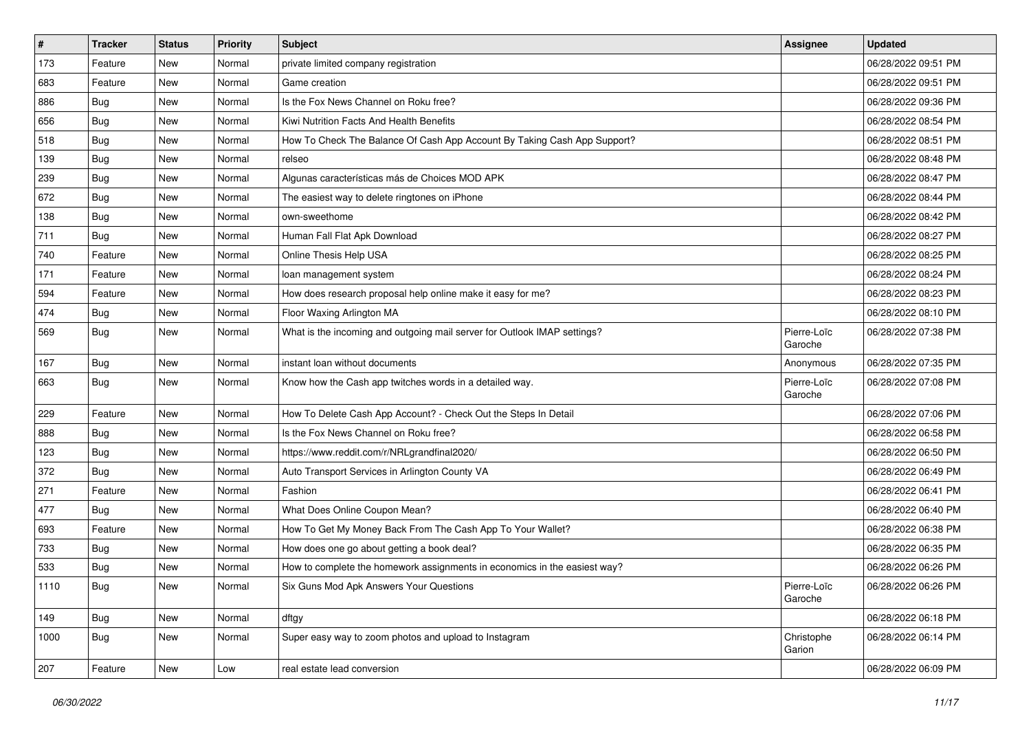| $\vert$ # | Tracker    | <b>Status</b> | <b>Priority</b> | <b>Subject</b>                                                            | <b>Assignee</b>        | <b>Updated</b>      |
|-----------|------------|---------------|-----------------|---------------------------------------------------------------------------|------------------------|---------------------|
| 173       | Feature    | New           | Normal          | private limited company registration                                      |                        | 06/28/2022 09:51 PM |
| 683       | Feature    | <b>New</b>    | Normal          | Game creation                                                             |                        | 06/28/2022 09:51 PM |
| 886       | <b>Bug</b> | New           | Normal          | Is the Fox News Channel on Roku free?                                     |                        | 06/28/2022 09:36 PM |
| 656       | <b>Bug</b> | New           | Normal          | Kiwi Nutrition Facts And Health Benefits                                  |                        | 06/28/2022 08:54 PM |
| 518       | Bug        | <b>New</b>    | Normal          | How To Check The Balance Of Cash App Account By Taking Cash App Support?  |                        | 06/28/2022 08:51 PM |
| 139       | <b>Bug</b> | New           | Normal          | relseo                                                                    |                        | 06/28/2022 08:48 PM |
| 239       | <b>Bug</b> | New           | Normal          | Algunas características más de Choices MOD APK                            |                        | 06/28/2022 08:47 PM |
| 672       | Bug        | New           | Normal          | The easiest way to delete ringtones on iPhone                             |                        | 06/28/2022 08:44 PM |
| 138       | <b>Bug</b> | New           | Normal          | own-sweethome                                                             |                        | 06/28/2022 08:42 PM |
| 711       | Bug        | <b>New</b>    | Normal          | Human Fall Flat Apk Download                                              |                        | 06/28/2022 08:27 PM |
| 740       | Feature    | New           | Normal          | Online Thesis Help USA                                                    |                        | 06/28/2022 08:25 PM |
| 171       | Feature    | New           | Normal          | loan management system                                                    |                        | 06/28/2022 08:24 PM |
| 594       | Feature    | New           | Normal          | How does research proposal help online make it easy for me?               |                        | 06/28/2022 08:23 PM |
| 474       | <b>Bug</b> | New           | Normal          | Floor Waxing Arlington MA                                                 |                        | 06/28/2022 08:10 PM |
| 569       | Bug        | New           | Normal          | What is the incoming and outgoing mail server for Outlook IMAP settings?  | Pierre-Loïc<br>Garoche | 06/28/2022 07:38 PM |
| 167       | <b>Bug</b> | New           | Normal          | instant loan without documents                                            | Anonymous              | 06/28/2022 07:35 PM |
| 663       | <b>Bug</b> | New           | Normal          | Know how the Cash app twitches words in a detailed way.                   | Pierre-Loïc<br>Garoche | 06/28/2022 07:08 PM |
| 229       | Feature    | New           | Normal          | How To Delete Cash App Account? - Check Out the Steps In Detail           |                        | 06/28/2022 07:06 PM |
| 888       | <b>Bug</b> | <b>New</b>    | Normal          | Is the Fox News Channel on Roku free?                                     |                        | 06/28/2022 06:58 PM |
| 123       | <b>Bug</b> | New           | Normal          | https://www.reddit.com/r/NRLgrandfinal2020/                               |                        | 06/28/2022 06:50 PM |
| 372       | <b>Bug</b> | New           | Normal          | Auto Transport Services in Arlington County VA                            |                        | 06/28/2022 06:49 PM |
| 271       | Feature    | New           | Normal          | Fashion                                                                   |                        | 06/28/2022 06:41 PM |
| 477       | <b>Bug</b> | New           | Normal          | What Does Online Coupon Mean?                                             |                        | 06/28/2022 06:40 PM |
| 693       | Feature    | New           | Normal          | How To Get My Money Back From The Cash App To Your Wallet?                |                        | 06/28/2022 06:38 PM |
| 733       | <b>Bug</b> | New           | Normal          | How does one go about getting a book deal?                                |                        | 06/28/2022 06:35 PM |
| 533       | <b>Bug</b> | New           | Normal          | How to complete the homework assignments in economics in the easiest way? |                        | 06/28/2022 06:26 PM |
| 1110      | <b>Bug</b> | New           | Normal          | Six Guns Mod Apk Answers Your Questions                                   | Pierre-Loïc<br>Garoche | 06/28/2022 06:26 PM |
| 149       | Bug        | New           | Normal          | dftgy                                                                     |                        | 06/28/2022 06:18 PM |
| 1000      | Bug        | New           | Normal          | Super easy way to zoom photos and upload to Instagram                     | Christophe<br>Garion   | 06/28/2022 06:14 PM |
| 207       | Feature    | New           | Low             | real estate lead conversion                                               |                        | 06/28/2022 06:09 PM |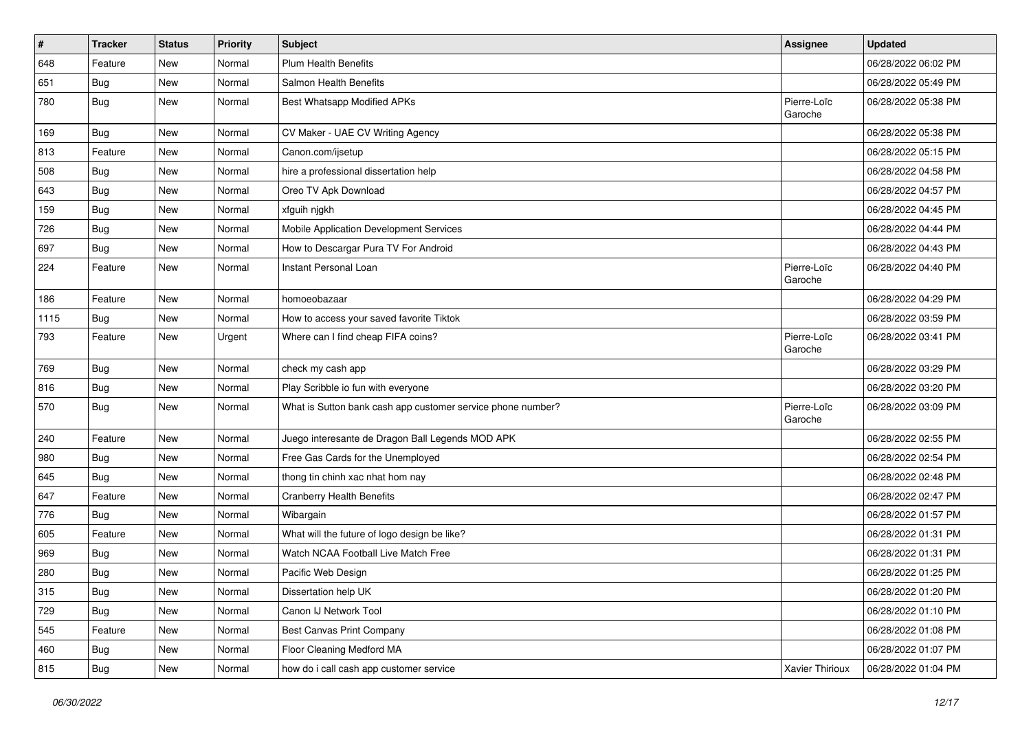| $\vert$ # | <b>Tracker</b> | <b>Status</b> | <b>Priority</b> | <b>Subject</b>                                              | <b>Assignee</b>        | <b>Updated</b>      |
|-----------|----------------|---------------|-----------------|-------------------------------------------------------------|------------------------|---------------------|
| 648       | Feature        | New           | Normal          | Plum Health Benefits                                        |                        | 06/28/2022 06:02 PM |
| 651       | <b>Bug</b>     | New           | Normal          | Salmon Health Benefits                                      |                        | 06/28/2022 05:49 PM |
| 780       | <b>Bug</b>     | New           | Normal          | Best Whatsapp Modified APKs                                 | Pierre-Loïc<br>Garoche | 06/28/2022 05:38 PM |
| 169       | Bug            | New           | Normal          | CV Maker - UAE CV Writing Agency                            |                        | 06/28/2022 05:38 PM |
| 813       | Feature        | New           | Normal          | Canon.com/ijsetup                                           |                        | 06/28/2022 05:15 PM |
| 508       | Bug            | New           | Normal          | hire a professional dissertation help                       |                        | 06/28/2022 04:58 PM |
| 643       | Bug            | New           | Normal          | Oreo TV Apk Download                                        |                        | 06/28/2022 04:57 PM |
| 159       | Bug            | New           | Normal          | xfguih njgkh                                                |                        | 06/28/2022 04:45 PM |
| 726       | <b>Bug</b>     | New           | Normal          | Mobile Application Development Services                     |                        | 06/28/2022 04:44 PM |
| 697       | Bug            | New           | Normal          | How to Descargar Pura TV For Android                        |                        | 06/28/2022 04:43 PM |
| 224       | Feature        | New           | Normal          | Instant Personal Loan                                       | Pierre-Loïc<br>Garoche | 06/28/2022 04:40 PM |
| 186       | Feature        | New           | Normal          | homoeobazaar                                                |                        | 06/28/2022 04:29 PM |
| 1115      | <b>Bug</b>     | New           | Normal          | How to access your saved favorite Tiktok                    |                        | 06/28/2022 03:59 PM |
| 793       | Feature        | New           | Urgent          | Where can I find cheap FIFA coins?                          | Pierre-Loïc<br>Garoche | 06/28/2022 03:41 PM |
| 769       | Bug            | New           | Normal          | check my cash app                                           |                        | 06/28/2022 03:29 PM |
| 816       | <b>Bug</b>     | New           | Normal          | Play Scribble io fun with everyone                          |                        | 06/28/2022 03:20 PM |
| 570       | <b>Bug</b>     | New           | Normal          | What is Sutton bank cash app customer service phone number? | Pierre-Loïc<br>Garoche | 06/28/2022 03:09 PM |
| 240       | Feature        | New           | Normal          | Juego interesante de Dragon Ball Legends MOD APK            |                        | 06/28/2022 02:55 PM |
| 980       | Bug            | New           | Normal          | Free Gas Cards for the Unemployed                           |                        | 06/28/2022 02:54 PM |
| 645       | <b>Bug</b>     | New           | Normal          | thong tin chinh xac nhat hom nay                            |                        | 06/28/2022 02:48 PM |
| 647       | Feature        | New           | Normal          | <b>Cranberry Health Benefits</b>                            |                        | 06/28/2022 02:47 PM |
| 776       | Bug            | New           | Normal          | Wibargain                                                   |                        | 06/28/2022 01:57 PM |
| 605       | Feature        | New           | Normal          | What will the future of logo design be like?                |                        | 06/28/2022 01:31 PM |
| 969       | <b>Bug</b>     | New           | Normal          | Watch NCAA Football Live Match Free                         |                        | 06/28/2022 01:31 PM |
| 280       | Bug            | <b>New</b>    | Normal          | Pacific Web Design                                          |                        | 06/28/2022 01:25 PM |
| 315       | <b>Bug</b>     | New           | Normal          | Dissertation help UK                                        |                        | 06/28/2022 01:20 PM |
| 729       | <b>Bug</b>     | New           | Normal          | Canon IJ Network Tool                                       |                        | 06/28/2022 01:10 PM |
| 545       | Feature        | New           | Normal          | Best Canvas Print Company                                   |                        | 06/28/2022 01:08 PM |
| 460       | <b>Bug</b>     | New           | Normal          | Floor Cleaning Medford MA                                   |                        | 06/28/2022 01:07 PM |
| 815       | Bug            | New           | Normal          | how do i call cash app customer service                     | Xavier Thirioux        | 06/28/2022 01:04 PM |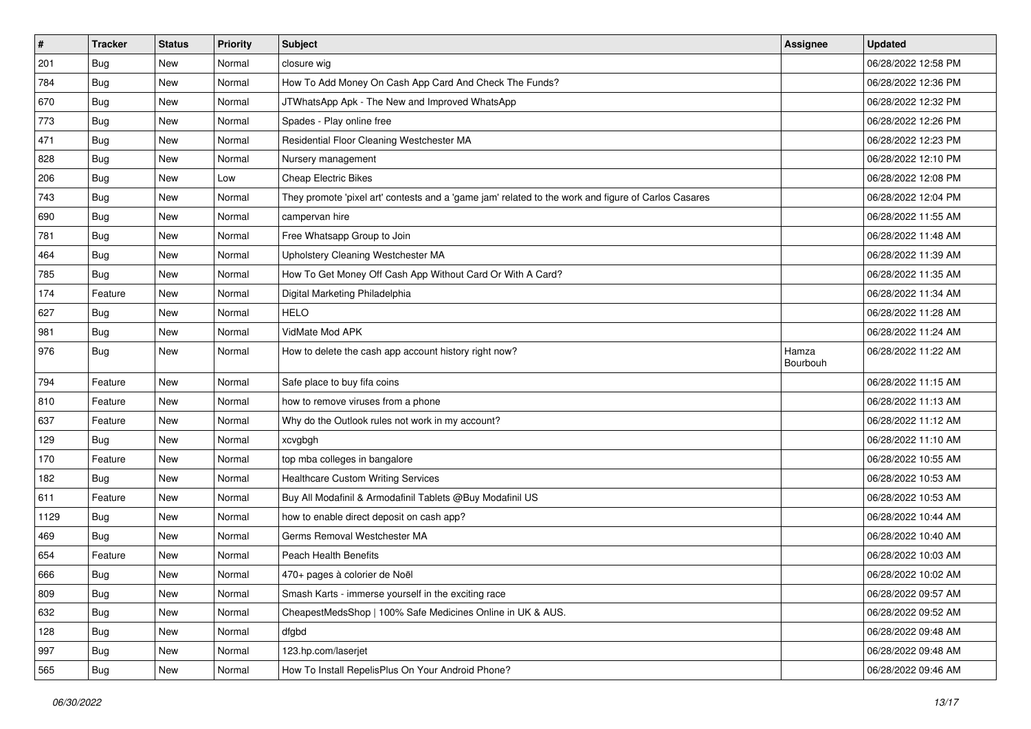| $\vert$ # | <b>Tracker</b> | <b>Status</b> | <b>Priority</b> | <b>Subject</b>                                                                                      | Assignee          | <b>Updated</b>      |
|-----------|----------------|---------------|-----------------|-----------------------------------------------------------------------------------------------------|-------------------|---------------------|
| 201       | <b>Bug</b>     | New           | Normal          | closure wig                                                                                         |                   | 06/28/2022 12:58 PM |
| 784       | <b>Bug</b>     | <b>New</b>    | Normal          | How To Add Money On Cash App Card And Check The Funds?                                              |                   | 06/28/2022 12:36 PM |
| 670       | Bug            | New           | Normal          | JTWhatsApp Apk - The New and Improved WhatsApp                                                      |                   | 06/28/2022 12:32 PM |
| 773       | <b>Bug</b>     | New           | Normal          | Spades - Play online free                                                                           |                   | 06/28/2022 12:26 PM |
| 471       | Bug            | <b>New</b>    | Normal          | Residential Floor Cleaning Westchester MA                                                           |                   | 06/28/2022 12:23 PM |
| 828       | <b>Bug</b>     | New           | Normal          | Nursery management                                                                                  |                   | 06/28/2022 12:10 PM |
| 206       | <b>Bug</b>     | New           | Low             | <b>Cheap Electric Bikes</b>                                                                         |                   | 06/28/2022 12:08 PM |
| 743       | <b>Bug</b>     | New           | Normal          | They promote 'pixel art' contests and a 'game jam' related to the work and figure of Carlos Casares |                   | 06/28/2022 12:04 PM |
| 690       | <b>Bug</b>     | New           | Normal          | campervan hire                                                                                      |                   | 06/28/2022 11:55 AM |
| 781       | <b>Bug</b>     | New           | Normal          | Free Whatsapp Group to Join                                                                         |                   | 06/28/2022 11:48 AM |
| 464       | <b>Bug</b>     | New           | Normal          | Upholstery Cleaning Westchester MA                                                                  |                   | 06/28/2022 11:39 AM |
| 785       | <b>Bug</b>     | New           | Normal          | How To Get Money Off Cash App Without Card Or With A Card?                                          |                   | 06/28/2022 11:35 AM |
| 174       | Feature        | New           | Normal          | Digital Marketing Philadelphia                                                                      |                   | 06/28/2022 11:34 AM |
| 627       | Bug            | New           | Normal          | <b>HELO</b>                                                                                         |                   | 06/28/2022 11:28 AM |
| 981       | <b>Bug</b>     | New           | Normal          | VidMate Mod APK                                                                                     |                   | 06/28/2022 11:24 AM |
| 976       | Bug            | New           | Normal          | How to delete the cash app account history right now?                                               | Hamza<br>Bourbouh | 06/28/2022 11:22 AM |
| 794       | Feature        | New           | Normal          | Safe place to buy fifa coins                                                                        |                   | 06/28/2022 11:15 AM |
| 810       | Feature        | New           | Normal          | how to remove viruses from a phone                                                                  |                   | 06/28/2022 11:13 AM |
| 637       | Feature        | New           | Normal          | Why do the Outlook rules not work in my account?                                                    |                   | 06/28/2022 11:12 AM |
| 129       | <b>Bug</b>     | New           | Normal          | xcvgbgh                                                                                             |                   | 06/28/2022 11:10 AM |
| 170       | Feature        | New           | Normal          | top mba colleges in bangalore                                                                       |                   | 06/28/2022 10:55 AM |
| 182       | <b>Bug</b>     | New           | Normal          | <b>Healthcare Custom Writing Services</b>                                                           |                   | 06/28/2022 10:53 AM |
| 611       | Feature        | New           | Normal          | Buy All Modafinil & Armodafinil Tablets @Buy Modafinil US                                           |                   | 06/28/2022 10:53 AM |
| 1129      | <b>Bug</b>     | New           | Normal          | how to enable direct deposit on cash app?                                                           |                   | 06/28/2022 10:44 AM |
| 469       | Bug            | New           | Normal          | Germs Removal Westchester MA                                                                        |                   | 06/28/2022 10:40 AM |
| 654       | Feature        | New           | Normal          | Peach Health Benefits                                                                               |                   | 06/28/2022 10:03 AM |
| 666       | <b>Bug</b>     | New           | Normal          | 470+ pages à colorier de Noël                                                                       |                   | 06/28/2022 10:02 AM |
| 809       | <b>Bug</b>     | New           | Normal          | Smash Karts - immerse yourself in the exciting race                                                 |                   | 06/28/2022 09:57 AM |
| 632       | <b>Bug</b>     | New           | Normal          | CheapestMedsShop   100% Safe Medicines Online in UK & AUS.                                          |                   | 06/28/2022 09:52 AM |
| 128       | <b>Bug</b>     | New           | Normal          | dfgbd                                                                                               |                   | 06/28/2022 09:48 AM |
| 997       | <b>Bug</b>     | New           | Normal          | 123.hp.com/laserjet                                                                                 |                   | 06/28/2022 09:48 AM |
| 565       | Bug            | New           | Normal          | How To Install RepelisPlus On Your Android Phone?                                                   |                   | 06/28/2022 09:46 AM |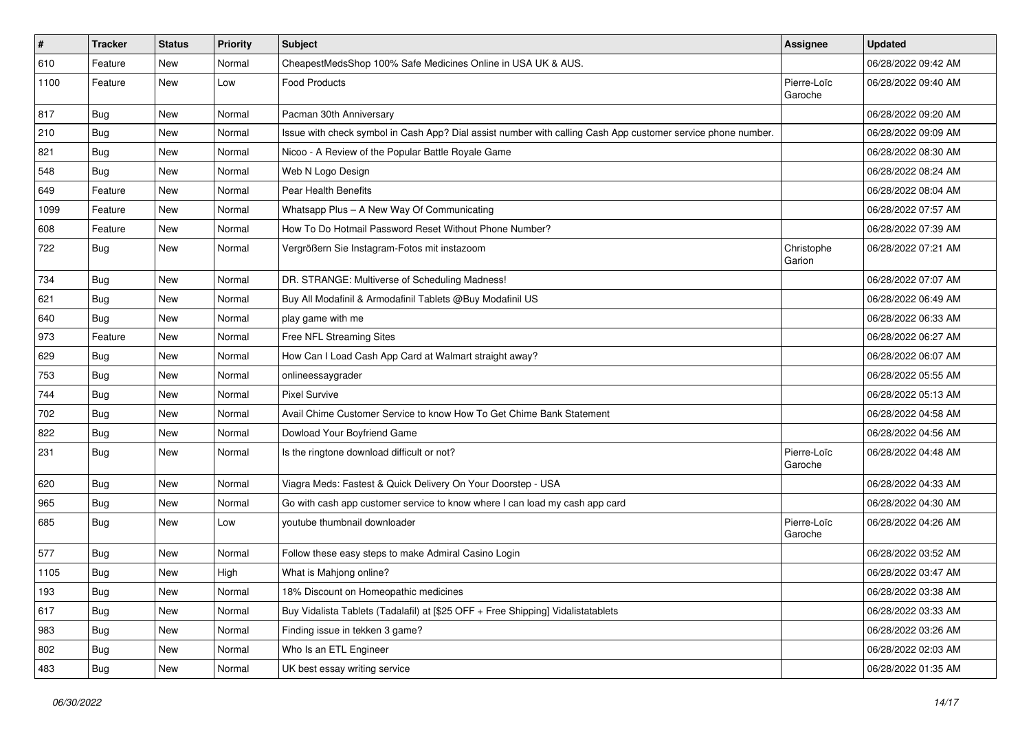| $\vert$ # | <b>Tracker</b> | <b>Status</b> | <b>Priority</b> | <b>Subject</b>                                                                                               | Assignee               | <b>Updated</b>      |
|-----------|----------------|---------------|-----------------|--------------------------------------------------------------------------------------------------------------|------------------------|---------------------|
| 610       | Feature        | New           | Normal          | CheapestMedsShop 100% Safe Medicines Online in USA UK & AUS.                                                 |                        | 06/28/2022 09:42 AM |
| 1100      | Feature        | New           | Low             | <b>Food Products</b>                                                                                         | Pierre-Loïc<br>Garoche | 06/28/2022 09:40 AM |
| 817       | <b>Bug</b>     | <b>New</b>    | Normal          | Pacman 30th Anniversary                                                                                      |                        | 06/28/2022 09:20 AM |
| 210       | <b>Bug</b>     | New           | Normal          | Issue with check symbol in Cash App? Dial assist number with calling Cash App customer service phone number. |                        | 06/28/2022 09:09 AM |
| 821       | Bug            | New           | Normal          | Nicoo - A Review of the Popular Battle Royale Game                                                           |                        | 06/28/2022 08:30 AM |
| 548       | <b>Bug</b>     | New           | Normal          | Web N Logo Design                                                                                            |                        | 06/28/2022 08:24 AM |
| 649       | Feature        | New           | Normal          | Pear Health Benefits                                                                                         |                        | 06/28/2022 08:04 AM |
| 1099      | Feature        | New           | Normal          | Whatsapp Plus - A New Way Of Communicating                                                                   |                        | 06/28/2022 07:57 AM |
| 608       | Feature        | <b>New</b>    | Normal          | How To Do Hotmail Password Reset Without Phone Number?                                                       |                        | 06/28/2022 07:39 AM |
| 722       | Bug            | New           | Normal          | Vergrößern Sie Instagram-Fotos mit instazoom                                                                 | Christophe<br>Garion   | 06/28/2022 07:21 AM |
| 734       | <b>Bug</b>     | New           | Normal          | DR. STRANGE: Multiverse of Scheduling Madness!                                                               |                        | 06/28/2022 07:07 AM |
| 621       | <b>Bug</b>     | New           | Normal          | Buy All Modafinil & Armodafinil Tablets @Buy Modafinil US                                                    |                        | 06/28/2022 06:49 AM |
| 640       | <b>Bug</b>     | New           | Normal          | play game with me                                                                                            |                        | 06/28/2022 06:33 AM |
| 973       | Feature        | New           | Normal          | Free NFL Streaming Sites                                                                                     |                        | 06/28/2022 06:27 AM |
| 629       | <b>Bug</b>     | New           | Normal          | How Can I Load Cash App Card at Walmart straight away?                                                       |                        | 06/28/2022 06:07 AM |
| 753       | <b>Bug</b>     | New           | Normal          | onlineessaygrader                                                                                            |                        | 06/28/2022 05:55 AM |
| 744       | <b>Bug</b>     | New           | Normal          | <b>Pixel Survive</b>                                                                                         |                        | 06/28/2022 05:13 AM |
| 702       | <b>Bug</b>     | New           | Normal          | Avail Chime Customer Service to know How To Get Chime Bank Statement                                         |                        | 06/28/2022 04:58 AM |
| 822       | Bug            | New           | Normal          | Dowload Your Boyfriend Game                                                                                  |                        | 06/28/2022 04:56 AM |
| 231       | Bug            | New           | Normal          | Is the ringtone download difficult or not?                                                                   | Pierre-Loïc<br>Garoche | 06/28/2022 04:48 AM |
| 620       | Bug            | New           | Normal          | Viagra Meds: Fastest & Quick Delivery On Your Doorstep - USA                                                 |                        | 06/28/2022 04:33 AM |
| 965       | <b>Bug</b>     | New           | Normal          | Go with cash app customer service to know where I can load my cash app card                                  |                        | 06/28/2022 04:30 AM |
| 685       | Bug            | New           | Low             | voutube thumbnail downloader                                                                                 | Pierre-Loïc<br>Garoche | 06/28/2022 04:26 AM |
| 577       | Bug            | New           | Normal          | Follow these easy steps to make Admiral Casino Login                                                         |                        | 06/28/2022 03:52 AM |
| 1105      | Bug            | New           | High            | What is Mahjong online?                                                                                      |                        | 06/28/2022 03:47 AM |
| 193       | <b>Bug</b>     | New           | Normal          | 18% Discount on Homeopathic medicines                                                                        |                        | 06/28/2022 03:38 AM |
| 617       | <b>Bug</b>     | New           | Normal          | Buy Vidalista Tablets (Tadalafil) at [\$25 OFF + Free Shipping] Vidalistatablets                             |                        | 06/28/2022 03:33 AM |
| 983       | <b>Bug</b>     | New           | Normal          | Finding issue in tekken 3 game?                                                                              |                        | 06/28/2022 03:26 AM |
| 802       | <b>Bug</b>     | New           | Normal          | Who Is an ETL Engineer                                                                                       |                        | 06/28/2022 02:03 AM |
| 483       | <b>Bug</b>     | New           | Normal          | UK best essay writing service                                                                                |                        | 06/28/2022 01:35 AM |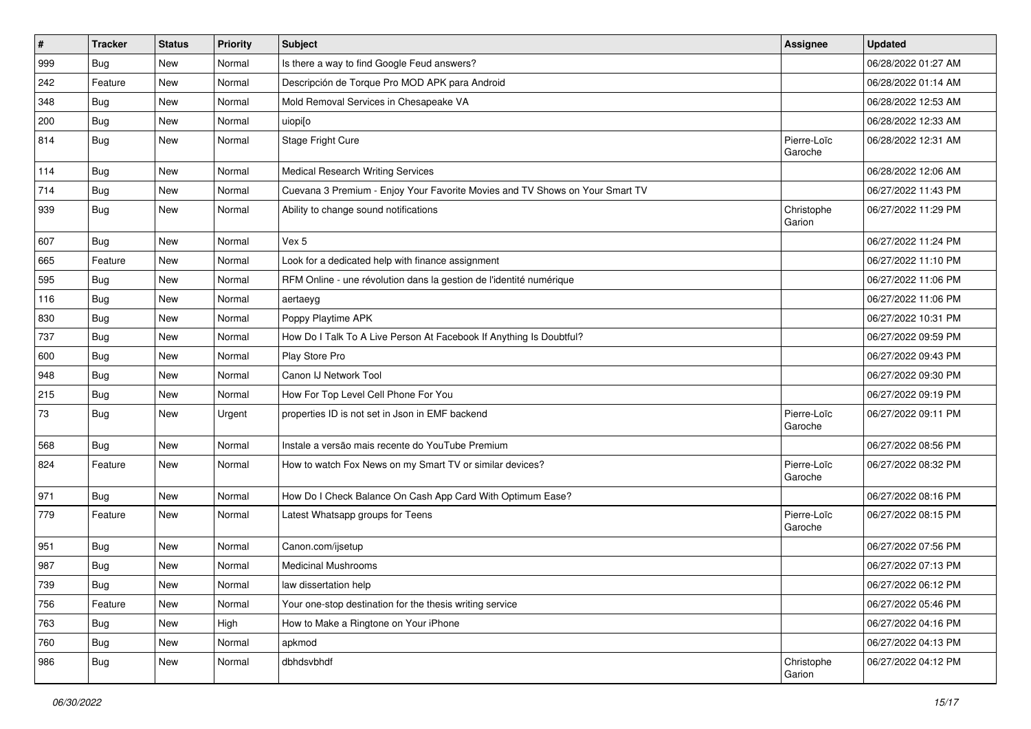| $\vert$ # | <b>Tracker</b> | <b>Status</b> | <b>Priority</b> | <b>Subject</b>                                                               | Assignee               | <b>Updated</b>      |
|-----------|----------------|---------------|-----------------|------------------------------------------------------------------------------|------------------------|---------------------|
| 999       | Bug            | New           | Normal          | Is there a way to find Google Feud answers?                                  |                        | 06/28/2022 01:27 AM |
| 242       | Feature        | New           | Normal          | Descripción de Torque Pro MOD APK para Android                               |                        | 06/28/2022 01:14 AM |
| 348       | <b>Bug</b>     | New           | Normal          | Mold Removal Services in Chesapeake VA                                       |                        | 06/28/2022 12:53 AM |
| 200       | <b>Bug</b>     | New           | Normal          | uiopi[o                                                                      |                        | 06/28/2022 12:33 AM |
| 814       | <b>Bug</b>     | New           | Normal          | Stage Fright Cure                                                            | Pierre-Loïc<br>Garoche | 06/28/2022 12:31 AM |
| 114       | <b>Bug</b>     | New           | Normal          | <b>Medical Research Writing Services</b>                                     |                        | 06/28/2022 12:06 AM |
| 714       | Bug            | New           | Normal          | Cuevana 3 Premium - Enjoy Your Favorite Movies and TV Shows on Your Smart TV |                        | 06/27/2022 11:43 PM |
| 939       | <b>Bug</b>     | New           | Normal          | Ability to change sound notifications                                        | Christophe<br>Garion   | 06/27/2022 11:29 PM |
| 607       | Bug            | New           | Normal          | Vex 5                                                                        |                        | 06/27/2022 11:24 PM |
| 665       | Feature        | New           | Normal          | Look for a dedicated help with finance assignment                            |                        | 06/27/2022 11:10 PM |
| 595       | Bug            | New           | Normal          | RFM Online - une révolution dans la gestion de l'identité numérique          |                        | 06/27/2022 11:06 PM |
| 116       | Bug            | New           | Normal          | aertaeyg                                                                     |                        | 06/27/2022 11:06 PM |
| 830       | <b>Bug</b>     | New           | Normal          | Poppy Playtime APK                                                           |                        | 06/27/2022 10:31 PM |
| 737       | Bug            | New           | Normal          | How Do I Talk To A Live Person At Facebook If Anything Is Doubtful?          |                        | 06/27/2022 09:59 PM |
| 600       | <b>Bug</b>     | New           | Normal          | Play Store Pro                                                               |                        | 06/27/2022 09:43 PM |
| 948       | Bug            | New           | Normal          | Canon IJ Network Tool                                                        |                        | 06/27/2022 09:30 PM |
| 215       | Bug            | New           | Normal          | How For Top Level Cell Phone For You                                         |                        | 06/27/2022 09:19 PM |
| 73        | <b>Bug</b>     | New           | Urgent          | properties ID is not set in Json in EMF backend                              | Pierre-Loïc<br>Garoche | 06/27/2022 09:11 PM |
| 568       | Bug            | New           | Normal          | Instale a versão mais recente do YouTube Premium                             |                        | 06/27/2022 08:56 PM |
| 824       | Feature        | New           | Normal          | How to watch Fox News on my Smart TV or similar devices?                     | Pierre-Loïc<br>Garoche | 06/27/2022 08:32 PM |
| 971       | <b>Bug</b>     | New           | Normal          | How Do I Check Balance On Cash App Card With Optimum Ease?                   |                        | 06/27/2022 08:16 PM |
| 779       | Feature        | New           | Normal          | Latest Whatsapp groups for Teens                                             | Pierre-Loïc<br>Garoche | 06/27/2022 08:15 PM |
| 951       | <b>Bug</b>     | New           | Normal          | Canon.com/ijsetup                                                            |                        | 06/27/2022 07:56 PM |
| 987       | Bug            | New           | Normal          | <b>Medicinal Mushrooms</b>                                                   |                        | 06/27/2022 07:13 PM |
| 739       | Bug            | New           | Normal          | law dissertation help                                                        |                        | 06/27/2022 06:12 PM |
| 756       | Feature        | New           | Normal          | Your one-stop destination for the thesis writing service                     |                        | 06/27/2022 05:46 PM |
| 763       | <b>Bug</b>     | New           | High            | How to Make a Ringtone on Your iPhone                                        |                        | 06/27/2022 04:16 PM |
| 760       | <b>Bug</b>     | New           | Normal          | apkmod                                                                       |                        | 06/27/2022 04:13 PM |
| 986       | <b>Bug</b>     | New           | Normal          | dbhdsvbhdf                                                                   | Christophe<br>Garion   | 06/27/2022 04:12 PM |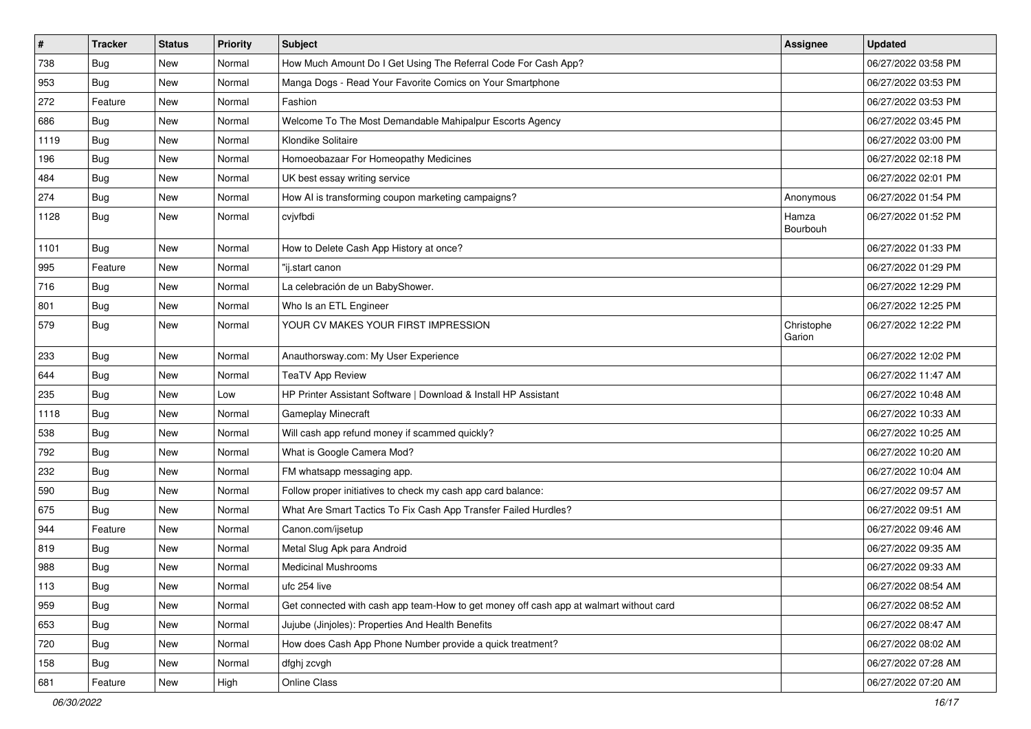| $\sharp$ | <b>Tracker</b> | <b>Status</b> | <b>Priority</b> | Subject                                                                                | <b>Assignee</b>      | <b>Updated</b>      |
|----------|----------------|---------------|-----------------|----------------------------------------------------------------------------------------|----------------------|---------------------|
| 738      | <b>Bug</b>     | New           | Normal          | How Much Amount Do I Get Using The Referral Code For Cash App?                         |                      | 06/27/2022 03:58 PM |
| 953      | <b>Bug</b>     | <b>New</b>    | Normal          | Manga Dogs - Read Your Favorite Comics on Your Smartphone                              |                      | 06/27/2022 03:53 PM |
| 272      | Feature        | New           | Normal          | Fashion                                                                                |                      | 06/27/2022 03:53 PM |
| 686      | <b>Bug</b>     | New           | Normal          | Welcome To The Most Demandable Mahipalpur Escorts Agency                               |                      | 06/27/2022 03:45 PM |
| 1119     | Bug            | New           | Normal          | Klondike Solitaire                                                                     |                      | 06/27/2022 03:00 PM |
| 196      | Bug            | <b>New</b>    | Normal          | Homoeobazaar For Homeopathy Medicines                                                  |                      | 06/27/2022 02:18 PM |
| 484      | Bug            | <b>New</b>    | Normal          | UK best essay writing service                                                          |                      | 06/27/2022 02:01 PM |
| 274      | <b>Bug</b>     | <b>New</b>    | Normal          | How AI is transforming coupon marketing campaigns?                                     | Anonymous            | 06/27/2022 01:54 PM |
| 1128     | <b>Bug</b>     | <b>New</b>    | Normal          | cvjvfbdi                                                                               | Hamza<br>Bourbouh    | 06/27/2022 01:52 PM |
| 1101     | Bug            | New           | Normal          | How to Delete Cash App History at once?                                                |                      | 06/27/2022 01:33 PM |
| 995      | Feature        | <b>New</b>    | Normal          | "ij.start canon                                                                        |                      | 06/27/2022 01:29 PM |
| 716      | Bug            | <b>New</b>    | Normal          | La celebración de un BabyShower.                                                       |                      | 06/27/2022 12:29 PM |
| 801      | <b>Bug</b>     | New           | Normal          | Who Is an ETL Engineer                                                                 |                      | 06/27/2022 12:25 PM |
| 579      | <b>Bug</b>     | New           | Normal          | YOUR CV MAKES YOUR FIRST IMPRESSION                                                    | Christophe<br>Garion | 06/27/2022 12:22 PM |
| 233      | Bug            | <b>New</b>    | Normal          | Anauthorsway.com: My User Experience                                                   |                      | 06/27/2022 12:02 PM |
| 644      | Bug            | <b>New</b>    | Normal          | <b>TeaTV App Review</b>                                                                |                      | 06/27/2022 11:47 AM |
| 235      | <b>Bug</b>     | New           | Low             | HP Printer Assistant Software   Download & Install HP Assistant                        |                      | 06/27/2022 10:48 AM |
| 1118     | <b>Bug</b>     | <b>New</b>    | Normal          | Gameplay Minecraft                                                                     |                      | 06/27/2022 10:33 AM |
| 538      | Bug            | <b>New</b>    | Normal          | Will cash app refund money if scammed quickly?                                         |                      | 06/27/2022 10:25 AM |
| 792      | Bug            | <b>New</b>    | Normal          | What is Google Camera Mod?                                                             |                      | 06/27/2022 10:20 AM |
| 232      | Bug            | New           | Normal          | FM whatsapp messaging app.                                                             |                      | 06/27/2022 10:04 AM |
| 590      | <b>Bug</b>     | New           | Normal          | Follow proper initiatives to check my cash app card balance:                           |                      | 06/27/2022 09:57 AM |
| 675      | <b>Bug</b>     | New           | Normal          | What Are Smart Tactics To Fix Cash App Transfer Failed Hurdles?                        |                      | 06/27/2022 09:51 AM |
| 944      | Feature        | New           | Normal          | Canon.com/ijsetup                                                                      |                      | 06/27/2022 09:46 AM |
| 819      | <b>Bug</b>     | New           | Normal          | Metal Slug Apk para Android                                                            |                      | 06/27/2022 09:35 AM |
| 988      | <b>Bug</b>     | New           | Normal          | <b>Medicinal Mushrooms</b>                                                             |                      | 06/27/2022 09:33 AM |
| 113      | Bug            | New           | Normal          | ufc 254 live                                                                           |                      | 06/27/2022 08:54 AM |
| 959      | <b>Bug</b>     | New           | Normal          | Get connected with cash app team-How to get money off cash app at walmart without card |                      | 06/27/2022 08:52 AM |
| 653      | Bug            | New           | Normal          | Jujube (Jinjoles): Properties And Health Benefits                                      |                      | 06/27/2022 08:47 AM |
| 720      | <b>Bug</b>     | New           | Normal          | How does Cash App Phone Number provide a quick treatment?                              |                      | 06/27/2022 08:02 AM |
| 158      | <b>Bug</b>     | New           | Normal          | dfghj zcvgh                                                                            |                      | 06/27/2022 07:28 AM |
| 681      | Feature        | New           | High            | Online Class                                                                           |                      | 06/27/2022 07:20 AM |